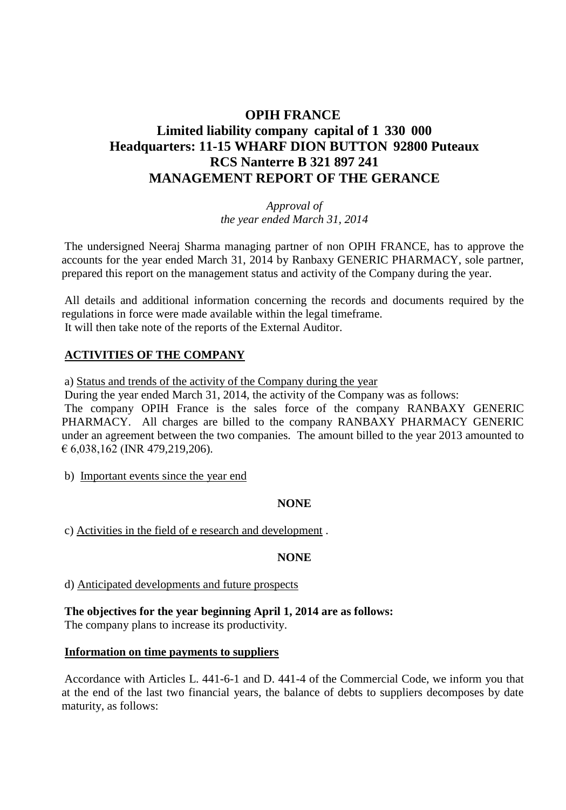## **OPIH FRANCE Limited liability company capital of 1 330 000 Headquarters: 11-15 WHARF DION BUTTON 92800 Puteaux RCS Nanterre B 321 897 241 MANAGEMENT REPORT OF THE GERANCE**

*Approval of the year ended March 31, 2014*

The undersigned Neeraj Sharma managing partner of non OPIH FRANCE, has to approve the accounts for the year ended March 31, 2014 by Ranbaxy GENERIC PHARMACY, sole partner, prepared this report on the management status and activity of the Company during the year.

All details and additional information concerning the records and documents required by the regulations in force were made available within the legal timeframe. It will then take note of the reports of the External Auditor.

### **ACTIVITIES OF THE COMPANY**

a) Status and trends of the activity of the Company during the year

During the year ended March 31, 2014, the activity of the Company was as follows: The company OPIH France is the sales force of the company RANBAXY GENERIC

PHARMACY. All charges are billed to the company RANBAXY PHARMACY GENERIC under an agreement between the two companies. The amount billed to the year 2013 amounted to € 6,038,162 (INR 479,219,206).

b) Important events since the year end

### **NONE**

c) Activities in the field of e research and development .

#### **NONE**

d) Anticipated developments and future prospects

**The objectives for the year beginning April 1, 2014 are as follows:** The company plans to increase its productivity.

#### **Information on time payments to suppliers**

Accordance with Articles L. 441-6-1 and D. 441-4 of the Commercial Code, we inform you that at the end of the last two financial years, the balance of debts to suppliers decomposes by date maturity, as follows: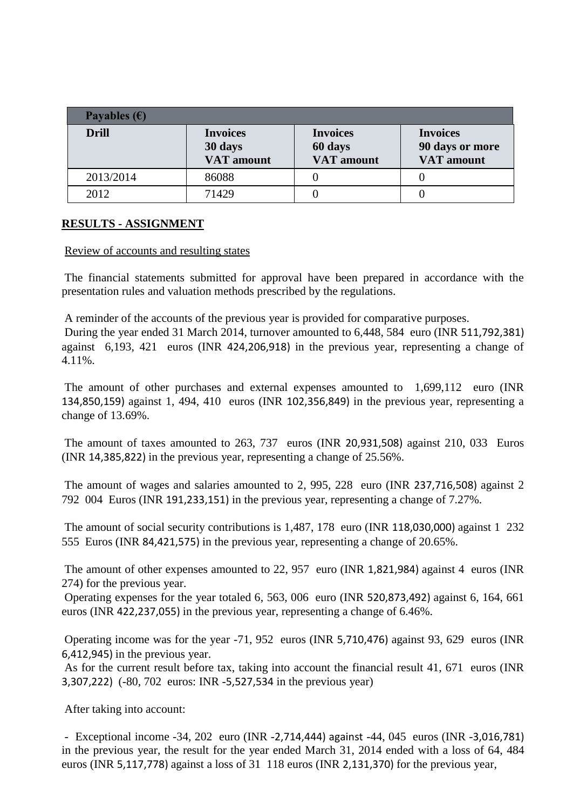| Payables $(\epsilon)$ |                                                 |                                                 |                                                         |
|-----------------------|-------------------------------------------------|-------------------------------------------------|---------------------------------------------------------|
| <b>Drill</b>          | <b>Invoices</b><br>30 days<br><b>VAT</b> amount | <b>Invoices</b><br>60 days<br><b>VAT</b> amount | <b>Invoices</b><br>90 days or more<br><b>VAT</b> amount |
| 2013/2014             | 86088                                           |                                                 |                                                         |
| 2012                  | 71429                                           |                                                 |                                                         |

### **RESULTS - ASSIGNMENT**

#### Review of accounts and resulting states

The financial statements submitted for approval have been prepared in accordance with the presentation rules and valuation methods prescribed by the regulations.

A reminder of the accounts of the previous year is provided for comparative purposes. During the year ended 31 March 2014, turnover amounted to 6,448, 584 euro (INR 511,792,381) against 6,193, 421 euros (INR 424,206,918) in the previous year, representing a change of 4.11%.

The amount of other purchases and external expenses amounted to 1,699,112 euro (INR 134,850,159) against 1, 494, 410 euros (INR 102,356,849) in the previous year, representing a change of 13.69%.

The amount of taxes amounted to 263, 737 euros (INR 20,931,508) against 210, 033 Euros (INR 14,385,822) in the previous year, representing a change of 25.56%.

The amount of wages and salaries amounted to 2, 995, 228 euro (INR 237,716,508) against 2 792 004 Euros (INR 191,233,151) in the previous year, representing a change of 7.27%.

The amount of social security contributions is 1,487, 178 euro (INR 118,030,000) against 1 232 555 Euros (INR 84,421,575) in the previous year, representing a change of 20.65%.

The amount of other expenses amounted to 22, 957 euro (INR 1,821,984) against 4 euros (INR 274) for the previous year.

Operating expenses for the year totaled 6, 563, 006 euro (INR 520,873,492) against 6, 164, 661 euros (INR 422,237,055) in the previous year, representing a change of 6.46%.

Operating income was for the year -71, 952 euros (INR 5,710,476) against 93, 629 euros (INR 6,412,945) in the previous year.

As for the current result before tax, taking into account the financial result 41, 671 euros (INR 3,307,222) (-80, 702 euros: INR -5,527,534 in the previous year)

After taking into account:

- Exceptional income -34, 202 euro (INR -2,714,444) against -44, 045 euros (INR -3,016,781) in the previous year, the result for the year ended March 31, 2014 ended with a loss of 64, 484 euros (INR 5,117,778) against a loss of 31 118 euros (INR 2,131,370) for the previous year,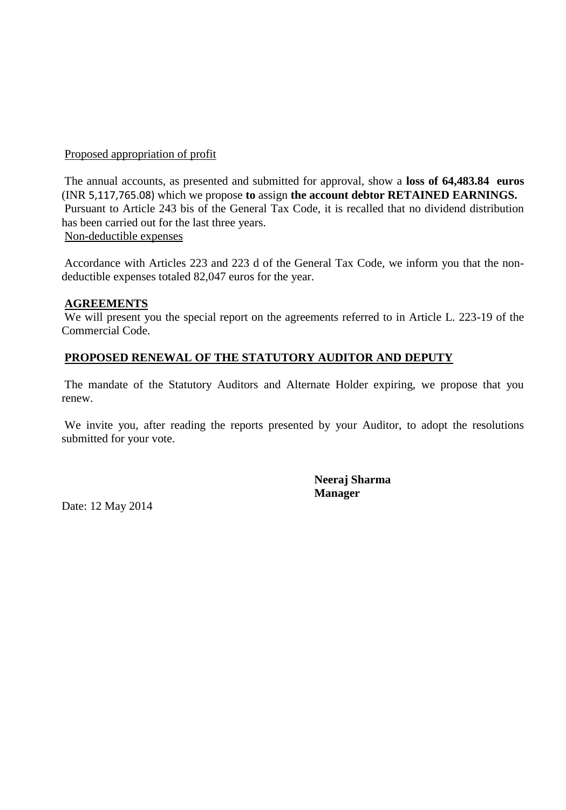### Proposed appropriation of profit

The annual accounts, as presented and submitted for approval, show a **loss of 64,483.84 euros** (INR 5,117,765.08) which we propose **to** assign **the account debtor RETAINED EARNINGS.** Pursuant to Article 243 bis of the General Tax Code, it is recalled that no dividend distribution has been carried out for the last three years. Non-deductible expenses

Accordance with Articles 223 and 223 d of the General Tax Code, we inform you that the nondeductible expenses totaled 82,047 euros for the year.

### **AGREEMENTS**

We will present you the special report on the agreements referred to in Article L. 223-19 of the Commercial Code.

### **PROPOSED RENEWAL OF THE STATUTORY AUDITOR AND DEPUTY**

The mandate of the Statutory Auditors and Alternate Holder expiring, we propose that you renew.

We invite you, after reading the reports presented by your Auditor, to adopt the resolutions submitted for your vote.

> **Neeraj Sharma Manager**

Date: 12 May 2014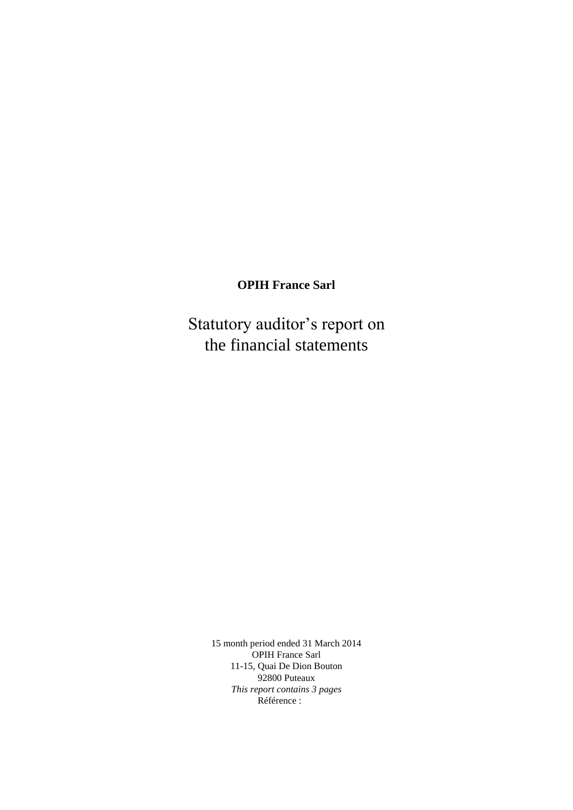## **OPIH France Sarl**

Statutory auditor's report on the financial statements

> 15 month period ended 31 March 2014 OPIH France Sarl 11-15, Quai De Dion Bouton 92800 Puteaux *This report contains 3 pages* Référence :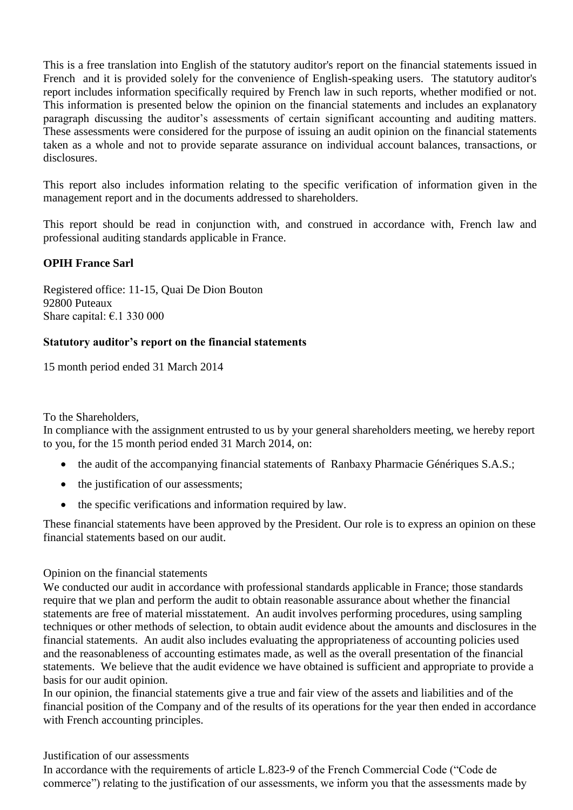This is a free translation into English of the statutory auditor's report on the financial statements issued in French and it is provided solely for the convenience of English-speaking users. The statutory auditor's report includes information specifically required by French law in such reports, whether modified or not. This information is presented below the opinion on the financial statements and includes an explanatory paragraph discussing the auditor's assessments of certain significant accounting and auditing matters. These assessments were considered for the purpose of issuing an audit opinion on the financial statements taken as a whole and not to provide separate assurance on individual account balances, transactions, or disclosures.

This report also includes information relating to the specific verification of information given in the management report and in the documents addressed to shareholders.

This report should be read in conjunction with, and construed in accordance with, French law and professional auditing standards applicable in France.

### **OPIH France Sarl**

Registered office: 11-15, Quai De Dion Bouton 92800 Puteaux Share capital:  $\epsilon$ .1 330 000

### **Statutory auditor's report on the financial statements**

15 month period ended 31 March 2014

To the Shareholders,

In compliance with the assignment entrusted to us by your general shareholders meeting, we hereby report to you, for the 15 month period ended 31 March 2014, on:

- the audit of the accompanying financial statements of Ranbaxy Pharmacie Génériques S.A.S.;
- the justification of our assessments;
- the specific verifications and information required by law.

These financial statements have been approved by the President. Our role is to express an opinion on these financial statements based on our audit.

#### Opinion on the financial statements

We conducted our audit in accordance with professional standards applicable in France; those standards require that we plan and perform the audit to obtain reasonable assurance about whether the financial statements are free of material misstatement. An audit involves performing procedures, using sampling techniques or other methods of selection, to obtain audit evidence about the amounts and disclosures in the financial statements. An audit also includes evaluating the appropriateness of accounting policies used and the reasonableness of accounting estimates made, as well as the overall presentation of the financial statements. We believe that the audit evidence we have obtained is sufficient and appropriate to provide a basis for our audit opinion.

In our opinion, the financial statements give a true and fair view of the assets and liabilities and of the financial position of the Company and of the results of its operations for the year then ended in accordance with French accounting principles.

Justification of our assessments

In accordance with the requirements of article L.823-9 of the French Commercial Code ("Code de commerce") relating to the justification of our assessments, we inform you that the assessments made by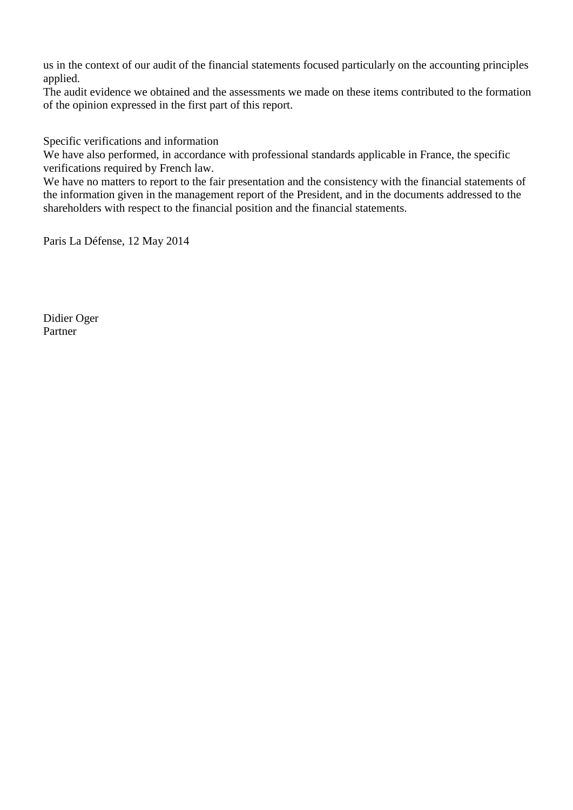us in the context of our audit of the financial statements focused particularly on the accounting principles applied.

The audit evidence we obtained and the assessments we made on these items contributed to the formation of the opinion expressed in the first part of this report.

Specific verifications and information

We have also performed, in accordance with professional standards applicable in France, the specific verifications required by French law.

We have no matters to report to the fair presentation and the consistency with the financial statements of the information given in the management report of the President, and in the documents addressed to the shareholders with respect to the financial position and the financial statements.

Paris La Défense, 12 May 2014

Didier Oger Partner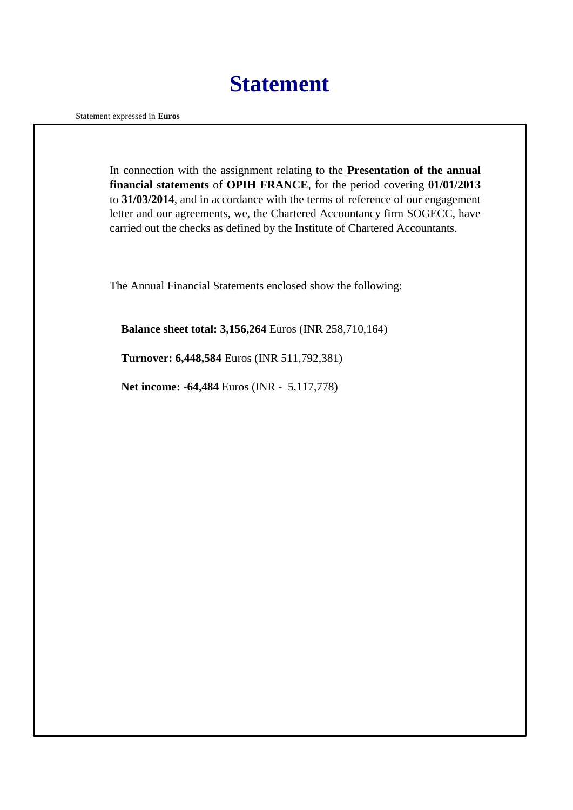## **Statement**

Statement expressed in **Euros**

In connection with the assignment relating to the **Presentation of the annual financial statements** of **OPIH FRANCE**, for the period covering **01/01/2013** to **31/03/2014**, and in accordance with the terms of reference of our engagement letter and our agreements, we, the Chartered Accountancy firm SOGECC, have carried out the checks as defined by the Institute of Chartered Accountants.

The Annual Financial Statements enclosed show the following:

**Balance sheet total: 3,156,264** Euros (INR 258,710,164)

**Turnover: 6,448,584** Euros (INR 511,792,381)

**Net income: -64,484** Euros (INR - 5,117,778)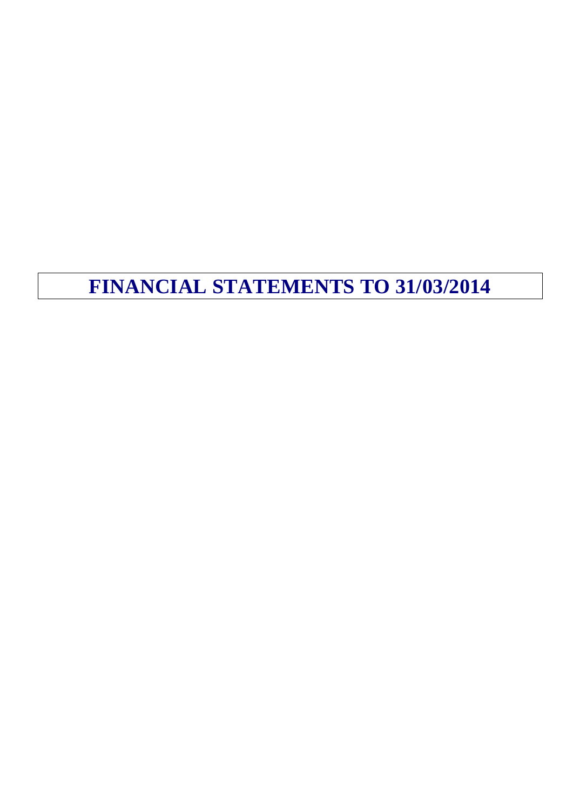## **FINANCIAL STATEMENTS TO 31/03/2014**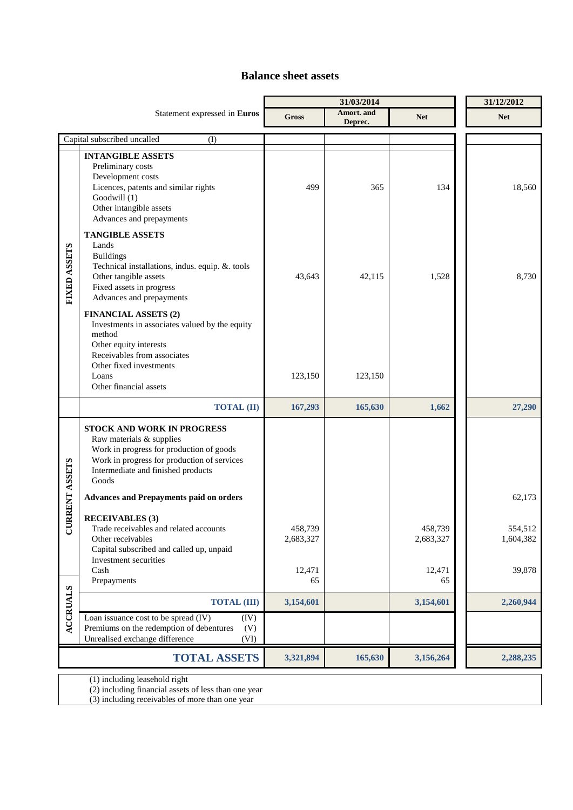### **Balance sheet assets**

|                 |                                                                                                                                                                                                                                                                                                                                                                        |                      | 31/03/2014            |                      | 31/12/2012           |
|-----------------|------------------------------------------------------------------------------------------------------------------------------------------------------------------------------------------------------------------------------------------------------------------------------------------------------------------------------------------------------------------------|----------------------|-----------------------|----------------------|----------------------|
|                 | Statement expressed in Euros                                                                                                                                                                                                                                                                                                                                           | <b>Gross</b>         | Amort. and<br>Deprec. | <b>Net</b>           | <b>Net</b>           |
|                 | Capital subscribed uncalled<br>(I)                                                                                                                                                                                                                                                                                                                                     |                      |                       |                      |                      |
|                 | <b>INTANGIBLE ASSETS</b><br>Preliminary costs<br>Development costs<br>Licences, patents and similar rights<br>Goodwill (1)<br>Other intangible assets<br>Advances and prepayments                                                                                                                                                                                      | 499                  | 365                   | 134                  | 18,560               |
| FIXED ASSETS    | <b>TANGIBLE ASSETS</b><br>Lands<br><b>Buildings</b><br>Technical installations, indus. equip. &. tools<br>Other tangible assets<br>Fixed assets in progress<br>Advances and prepayments<br><b>FINANCIAL ASSETS (2)</b><br>Investments in associates valued by the equity<br>method<br>Other equity interests<br>Receivables from associates<br>Other fixed investments | 43,643               | 42,115                | 1,528                | 8,730                |
|                 | Loans<br>Other financial assets                                                                                                                                                                                                                                                                                                                                        | 123,150              | 123,150               |                      |                      |
|                 | <b>TOTAL (II)</b>                                                                                                                                                                                                                                                                                                                                                      | 167,293              | 165,630               | 1,662                | 27,290               |
| RRENT ASSETS    | <b>STOCK AND WORK IN PROGRESS</b><br>Raw materials & supplies<br>Work in progress for production of goods<br>Work in progress for production of services<br>Intermediate and finished products<br>Goods                                                                                                                                                                |                      |                       |                      |                      |
|                 | <b>Advances and Prepayments paid on orders</b>                                                                                                                                                                                                                                                                                                                         |                      |                       |                      | 62,173               |
| U               | <b>RECEIVABLES</b> (3)<br>Trade receivables and related accounts<br>Other receivables<br>Capital subscribed and called up, unpaid<br>Investment securities                                                                                                                                                                                                             | 458,739<br>2,683,327 |                       | 458,739<br>2,683,327 | 554,512<br>1,604,382 |
|                 | Cash<br>Prepayments                                                                                                                                                                                                                                                                                                                                                    | 12,471<br>65         |                       | 12,471<br>65         | 39,878               |
|                 | <b>TOTAL (III)</b>                                                                                                                                                                                                                                                                                                                                                     | 3,154,601            |                       | 3,154,601            | 2,260,944            |
| <b>ACCRUALS</b> | Loan issuance cost to be spread (IV)<br>(IV)<br>Premiums on the redemption of debentures<br>(V)<br>Unrealised exchange difference<br>(VI)                                                                                                                                                                                                                              |                      |                       |                      |                      |
|                 | <b>TOTAL ASSETS</b>                                                                                                                                                                                                                                                                                                                                                    | 3,321,894            | 165,630               | 3,156,264            | 2,288,235            |

(1) including leasehold right

(2) including financial assets of less than one year

(3) including receivables of more than one year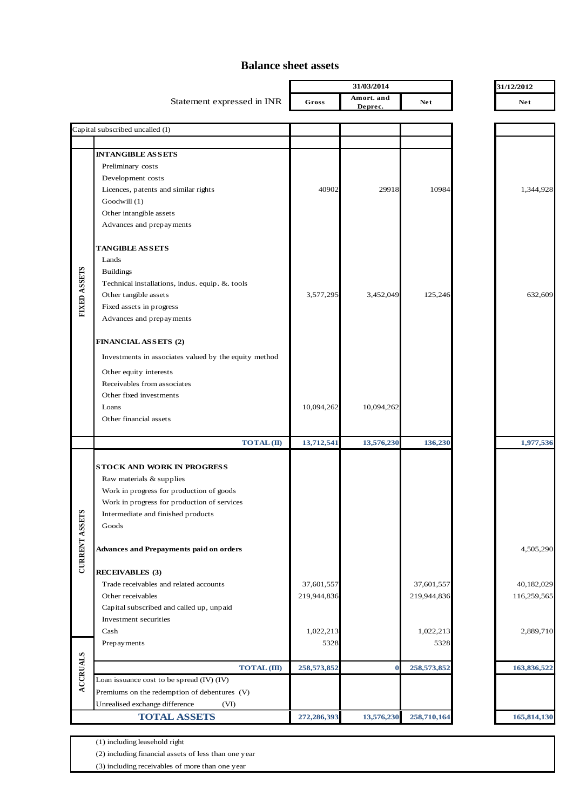#### **Balance sheet assets**

|                       |                                                               |               | 31/03/2014            |             | 31/12/2012  |  |
|-----------------------|---------------------------------------------------------------|---------------|-----------------------|-------------|-------------|--|
|                       | Statement expressed in INR                                    | Gross         | Amort. and<br>Deprec. | <b>Net</b>  | <b>Net</b>  |  |
|                       | Capital subscribed uncalled (I)                               |               |                       |             |             |  |
|                       |                                                               |               |                       |             |             |  |
|                       | <b>INTANGIBLE ASSETS</b>                                      |               |                       |             |             |  |
|                       | Preliminary costs                                             |               |                       |             |             |  |
|                       | Development costs                                             |               |                       |             |             |  |
|                       | Licences, patents and similar rights                          | 40902         | 29918                 | 10984       | 1,344,928   |  |
|                       | Goodwill (1)                                                  |               |                       |             |             |  |
|                       | Other intangible assets                                       |               |                       |             |             |  |
|                       | Advances and prepayments                                      |               |                       |             |             |  |
|                       | <b>TANGIBLE ASSETS</b>                                        |               |                       |             |             |  |
|                       | Lands                                                         |               |                       |             |             |  |
|                       | <b>Buildings</b>                                              |               |                       |             |             |  |
| FIXED ASSETS          | Technical installations, indus. equip. & tools                |               |                       |             |             |  |
|                       | Other tangible assets                                         | 3,577,295     | 3,452,049             | 125,246     | 632,609     |  |
|                       | Fixed assets in progress                                      |               |                       |             |             |  |
|                       | Advances and prepayments                                      |               |                       |             |             |  |
|                       | FINANCIAL ASSETS (2)                                          |               |                       |             |             |  |
|                       | Investments in associates valued by the equity method         |               |                       |             |             |  |
|                       | Other equity interests                                        |               |                       |             |             |  |
|                       | Receivables from associates                                   |               |                       |             |             |  |
|                       | Other fixed investments                                       |               |                       |             |             |  |
|                       | Loans                                                         | 10,094,262    | 10,094,262            |             |             |  |
|                       | Other financial assets                                        |               |                       |             |             |  |
|                       | <b>TOTAL</b> (II)                                             | 13,712,541    | 13,576,230            | 136,230     | 1,977,536   |  |
|                       |                                                               |               |                       |             |             |  |
|                       | <b>STOCK AND WORK IN PROGRESS</b><br>Raw materials & supplies |               |                       |             |             |  |
|                       | Work in progress for production of goods                      |               |                       |             |             |  |
|                       | Work in progress for production of services                   |               |                       |             |             |  |
|                       | Intermediate and finished products                            |               |                       |             |             |  |
|                       | Goods                                                         |               |                       |             |             |  |
| <b>CURRENT ASSETS</b> | <b>Advances and Prepayments paid on orders</b>                |               |                       |             | 4,505,290   |  |
|                       |                                                               |               |                       |             |             |  |
|                       | <b>RECEIVABLES (3)</b>                                        |               |                       |             |             |  |
|                       | Trade receivables and related accounts                        | 37,601,557    |                       | 37,601,557  | 40,182,029  |  |
|                       | Other receivables                                             | 219,944,836   |                       | 219,944,836 | 116,259,565 |  |
|                       | Capital subscribed and called up, unpaid                      |               |                       |             |             |  |
|                       | Investment securities<br>Cash                                 | 1,022,213     |                       | 1,022,213   | 2,889,710   |  |
|                       | Prepayments                                                   | 5328          |                       | 5328        |             |  |
|                       |                                                               |               |                       |             |             |  |
| <b>ACCRUALS</b>       | <b>TOTAL</b> (III)                                            | 258, 573, 852 | $\bf{0}$              | 258,573,852 | 163,836,522 |  |
|                       | Loan issuance cost to be spread (IV) (IV)                     |               |                       |             |             |  |
|                       | Premiums on the redemption of debentures (V)                  |               |                       |             |             |  |
|                       | Unrealised exchange difference<br>(VI)<br><b>TOTAL ASSETS</b> | 272,286,393   | 13,576,230            | 258,710,164 | 165,814,130 |  |
|                       |                                                               |               |                       |             |             |  |

(1) including leasehold right

(2) including financial assets of less than one year

(3) including receivables of more than one year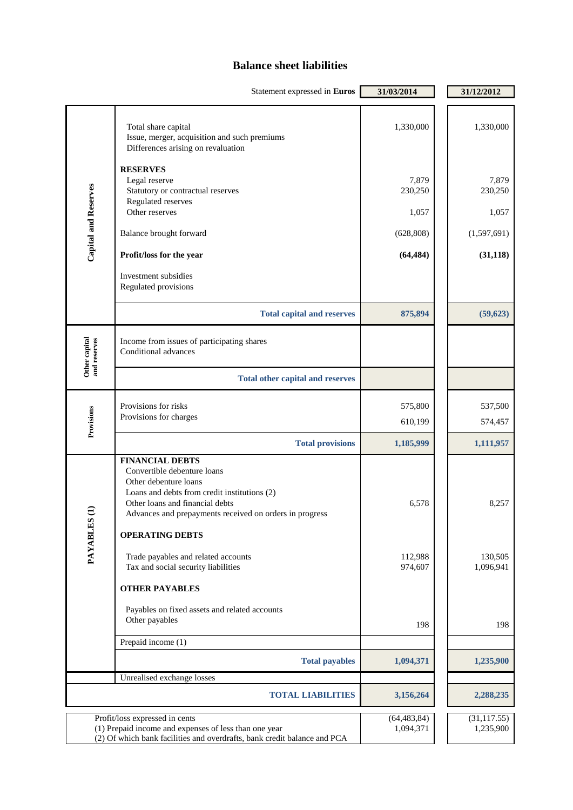### **Balance sheet liabilities**

|                               | Statement expressed in Euros                                                                                                                                                                                                                                                                                                         | 31/03/2014                                                        | 31/12/2012                                                         |
|-------------------------------|--------------------------------------------------------------------------------------------------------------------------------------------------------------------------------------------------------------------------------------------------------------------------------------------------------------------------------------|-------------------------------------------------------------------|--------------------------------------------------------------------|
| <b>Capital and Reserves</b>   | Total share capital<br>Issue, merger, acquisition and such premiums<br>Differences arising on revaluation<br><b>RESERVES</b><br>Legal reserve<br>Statutory or contractual reserves<br>Regulated reserves<br>Other reserves<br>Balance brought forward<br>Profit/loss for the year<br>Investment subsidies<br>Regulated provisions    | 1,330,000<br>7,879<br>230,250<br>1,057<br>(628, 808)<br>(64, 484) | 1,330,000<br>7,879<br>230,250<br>1,057<br>(1,597,691)<br>(31, 118) |
|                               | <b>Total capital and reserves</b>                                                                                                                                                                                                                                                                                                    | 875,894                                                           | (59, 623)                                                          |
| Other capital<br>and reserves | Income from issues of participating shares<br>Conditional advances                                                                                                                                                                                                                                                                   |                                                                   |                                                                    |
|                               | <b>Total other capital and reserves</b>                                                                                                                                                                                                                                                                                              |                                                                   |                                                                    |
| Provisions                    | Provisions for risks<br>Provisions for charges                                                                                                                                                                                                                                                                                       | 575,800<br>610,199                                                | 537,500<br>574,457                                                 |
|                               | <b>Total provisions</b>                                                                                                                                                                                                                                                                                                              | 1,185,999                                                         | 1,111,957                                                          |
| PAYABLES (                    | <b>FINANCIAL DEBTS</b><br>Convertible debenture loans<br>Other debenture loans<br>Loans and debts from credit institutions (2)<br>Other loans and financial debts<br>Advances and prepayments received on orders in progress<br><b>OPERATING DEBTS</b><br>Trade payables and related accounts<br>Tax and social security liabilities | 6,578<br>112,988<br>974,607                                       | 8,257<br>130,505<br>1,096,941                                      |
|                               | <b>OTHER PAYABLES</b>                                                                                                                                                                                                                                                                                                                |                                                                   |                                                                    |
|                               | Payables on fixed assets and related accounts<br>Other payables                                                                                                                                                                                                                                                                      | 198                                                               | 198                                                                |
|                               | Prepaid income (1)                                                                                                                                                                                                                                                                                                                   |                                                                   |                                                                    |
|                               | <b>Total payables</b>                                                                                                                                                                                                                                                                                                                | 1,094,371                                                         | 1,235,900                                                          |
|                               | Unrealised exchange losses                                                                                                                                                                                                                                                                                                           |                                                                   |                                                                    |
|                               | <b>TOTAL LIABILITIES</b>                                                                                                                                                                                                                                                                                                             | 3,156,264                                                         | 2,288,235                                                          |
|                               | Profit/loss expressed in cents<br>(1) Prepaid income and expenses of less than one year<br>(2) Of which bank facilities and overdrafts, bank credit balance and PCA                                                                                                                                                                  | (64, 483, 84)<br>1,094,371                                        | (31, 117.55)<br>1,235,900                                          |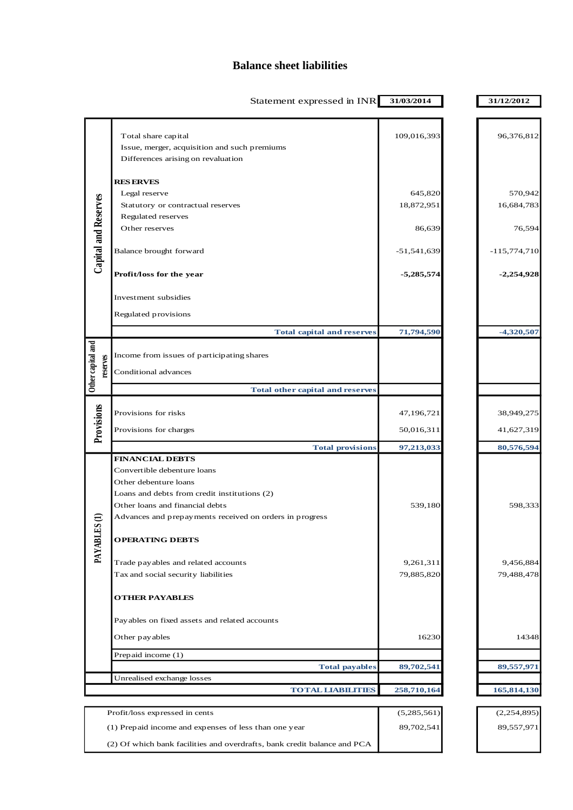### **Balance sheet liabilities**

|                               | Statement expressed in INR                                                                                                                                                                                                                             | 31/03/2014                | 31/12/2012                |
|-------------------------------|--------------------------------------------------------------------------------------------------------------------------------------------------------------------------------------------------------------------------------------------------------|---------------------------|---------------------------|
|                               | Total share capital<br>Issue, merger, acquisition and such premiums<br>Differences arising on revaluation                                                                                                                                              | 109,016,393               | 96,376,812                |
|                               | <b>RESERVES</b><br>Legal reserve<br>Statutory or contractual reserves                                                                                                                                                                                  | 645,820<br>18,872,951     | 570,942<br>16,684,783     |
| Capital and Reserves          | Regulated reserves<br>Other reserves                                                                                                                                                                                                                   | 86,639                    | 76,594                    |
|                               | Balance brought forward                                                                                                                                                                                                                                | $-51,541,639$             | $-115,774,710$            |
|                               | Profit/loss for the year                                                                                                                                                                                                                               | $-5,285,574$              | $-2,254,928$              |
|                               | Investment subsidies<br>Regulated provisions                                                                                                                                                                                                           |                           |                           |
|                               | <b>Total capital and reserves</b>                                                                                                                                                                                                                      | 71,794,590                | $-4,320,507$              |
| Other capital and<br>reserves | Income from issues of participating shares                                                                                                                                                                                                             |                           |                           |
|                               | Conditional advances                                                                                                                                                                                                                                   |                           |                           |
|                               | <b>Total other capital and reserves</b>                                                                                                                                                                                                                |                           |                           |
| Provisions                    | Provisions for risks                                                                                                                                                                                                                                   | 47,196,721                | 38,949,275                |
|                               | Provisions for charges                                                                                                                                                                                                                                 | 50,016,311                | 41,627,319                |
|                               | <b>Total provisions</b>                                                                                                                                                                                                                                | 97,213,033                | 80,576,594                |
| PAYABLES                      | <b>FINANCIAL DEBTS</b><br>Convertible debenture loans<br>Other debenture loans<br>Loans and debts from credit institutions (2)<br>Other loans and financial debts<br>Advances and prepayments received on orders in progress<br><b>OPERATING DEBTS</b> | 539,180                   | 598,333                   |
|                               | Trade payables and related accounts<br>Tax and social security liabilities                                                                                                                                                                             | 9,261,311<br>79,885,820   | 9,456,884<br>79,488,478   |
|                               | <b>OTHER PAYABLES</b>                                                                                                                                                                                                                                  |                           |                           |
|                               | Payables on fixed assets and related accounts                                                                                                                                                                                                          |                           |                           |
|                               | Other pay ables                                                                                                                                                                                                                                        | 16230                     | 14348                     |
|                               | Prepaid income (1)                                                                                                                                                                                                                                     |                           |                           |
|                               | <b>Total payables</b><br>Unrealised exchange losses                                                                                                                                                                                                    | 89,702,541                | 89,557,971                |
|                               | <b>TOTAL LIABILITIES</b>                                                                                                                                                                                                                               | 258,710,164               | 165,814,130               |
|                               |                                                                                                                                                                                                                                                        |                           |                           |
|                               | Profit/loss expressed in cents<br>(1) Prepaid income and expenses of less than one year                                                                                                                                                                | (5,285,561)<br>89,702,541 | (2,254,895)<br>89,557,971 |
|                               | (2) Of which bank facilities and overdrafts, bank credit balance and PCA                                                                                                                                                                               |                           |                           |
|                               |                                                                                                                                                                                                                                                        |                           |                           |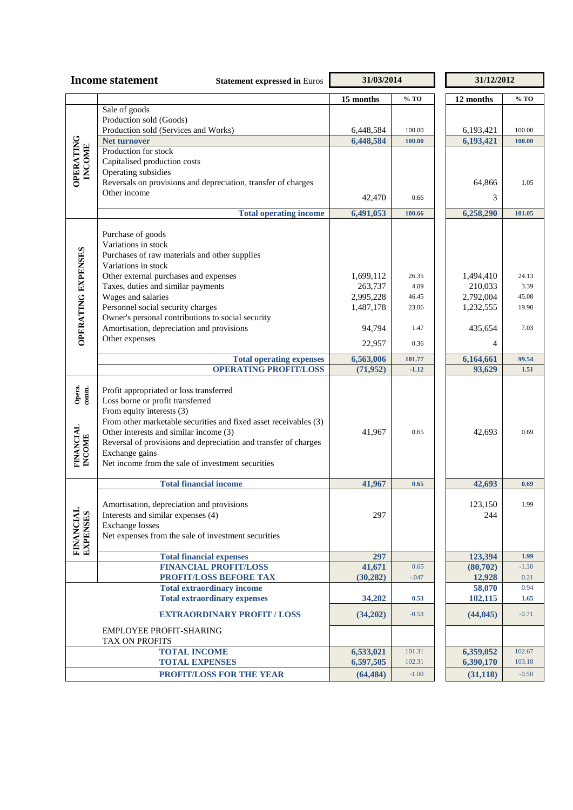| <b>Income statement</b><br><b>Statement expressed in Euros</b> |                                                                                 | 31/03/2014             |                  | 31/12/2012             |                  |  |
|----------------------------------------------------------------|---------------------------------------------------------------------------------|------------------------|------------------|------------------------|------------------|--|
|                                                                |                                                                                 | 15 months              | $%$ TO           | 12 months              | % TO             |  |
|                                                                | Sale of goods                                                                   |                        |                  |                        |                  |  |
|                                                                | Production sold (Goods)                                                         |                        |                  |                        |                  |  |
|                                                                | Production sold (Services and Works)                                            | 6,448,584              | 100.00           | 6,193,421              | 100.00           |  |
| <b>OPERATING</b>                                               | Net turnover<br>Production for stock                                            | 6,448,584              | 100.00           | 6,193,421              | 100.00           |  |
|                                                                | Capitalised production costs                                                    |                        |                  |                        |                  |  |
| <b>INCOME</b>                                                  | Operating subsidies                                                             |                        |                  |                        |                  |  |
|                                                                | Reversals on provisions and depreciation, transfer of charges                   |                        |                  | 64,866                 | 1.05             |  |
|                                                                | Other income                                                                    |                        | 0.66             | 3                      |                  |  |
|                                                                |                                                                                 | 42,470                 |                  |                        |                  |  |
|                                                                | <b>Total operating income</b>                                                   | 6,491,053              | 100.66           | 6,258,290              | 101.05           |  |
|                                                                | Purchase of goods                                                               |                        |                  |                        |                  |  |
|                                                                | Variations in stock                                                             |                        |                  |                        |                  |  |
|                                                                | Purchases of raw materials and other supplies                                   |                        |                  |                        |                  |  |
|                                                                | Variations in stock                                                             |                        |                  |                        |                  |  |
|                                                                | Other external purchases and expenses                                           | 1,699,112              | 26.35            | 1,494,410              | 24.13            |  |
|                                                                | Taxes, duties and similar payments                                              | 263,737                | 4.09             | 210,033                | 3.39             |  |
|                                                                | Wages and salaries<br>Personnel social security charges                         | 2,995,228<br>1,487,178 | 46.45<br>23.06   | 2,792,004<br>1,232,555 | 45.08<br>19.90   |  |
|                                                                | Owner's personal contributions to social security                               |                        |                  |                        |                  |  |
|                                                                | Amortisation, depreciation and provisions                                       | 94,794                 | 1.47             | 435,654                | 7.03             |  |
| <b>OPERATING EXPENSES</b>                                      | Other expenses                                                                  |                        |                  |                        |                  |  |
|                                                                |                                                                                 | 22,957                 | 0.36             | 4                      |                  |  |
|                                                                | <b>Total operating expenses</b>                                                 | 6,563,006              | 101.77           | 6,164,661              | 99.54            |  |
|                                                                | <b>OPERATING PROFIT/LOSS</b>                                                    | (71, 952)              | $-1.12$          | 93,629                 | 1.51             |  |
|                                                                | Profit appropriated or loss transferred                                         |                        |                  |                        |                  |  |
| Opera.<br>comm.                                                | Loss borne or profit transferred                                                |                        |                  |                        |                  |  |
|                                                                | From equity interests (3)                                                       |                        |                  |                        |                  |  |
|                                                                | From other marketable securities and fixed asset receivables (3)                |                        |                  |                        |                  |  |
|                                                                | Other interests and similar income (3)                                          | 41,967                 | 0.65             | 42,693                 | 0.69             |  |
|                                                                | Reversal of provisions and depreciation and transfer of charges                 |                        |                  |                        |                  |  |
| <b>FINANCIAL</b><br>INCOME                                     | Exchange gains<br>Net income from the sale of investment securities             |                        |                  |                        |                  |  |
|                                                                |                                                                                 |                        |                  |                        |                  |  |
|                                                                | <b>Total financial income</b>                                                   | 41,967                 | 0.65             | 42,693                 | 0.69             |  |
|                                                                |                                                                                 |                        |                  |                        |                  |  |
|                                                                | Amortisation, depreciation and provisions<br>Interests and similar expenses (4) | 297                    |                  | 123,150<br>244         | 1.99             |  |
|                                                                | <b>Exchange</b> losses                                                          |                        |                  |                        |                  |  |
|                                                                | Net expenses from the sale of investment securities                             |                        |                  |                        |                  |  |
| FINANCIAL<br>EXPENSES                                          |                                                                                 |                        |                  |                        |                  |  |
|                                                                | <b>Total financial expenses</b>                                                 | 297                    |                  | 123,394                | 1.99             |  |
|                                                                | <b>FINANCIAL PROFIT/LOSS</b>                                                    | 41,671                 | 0.65             | (80, 702)              | $-1.30$          |  |
|                                                                | PROFIT/LOSS BEFORE TAX<br><b>Total extraordinary income</b>                     | (30, 282)              | $-.047$          | 12,928<br>58,070       | 0.21<br>0.94     |  |
|                                                                | <b>Total extraordinary expenses</b>                                             | 34,202                 | 0.53             | 102,115                | 1.65             |  |
|                                                                |                                                                                 |                        |                  |                        |                  |  |
|                                                                | <b>EXTRAORDINARY PROFIT / LOSS</b>                                              | (34,202)               | $-0.53$          | (44, 045)              | $-0.71$          |  |
|                                                                | EMPLOYEE PROFIT-SHARING                                                         |                        |                  |                        |                  |  |
|                                                                | TAX ON PROFITS                                                                  |                        |                  |                        |                  |  |
|                                                                | <b>TOTAL INCOME</b><br><b>TOTAL EXPENSES</b>                                    | 6,533,021<br>6,597,505 | 101.31<br>102.31 | 6,359,052<br>6,390,170 | 102.67<br>103.18 |  |
|                                                                | PROFIT/LOSS FOR THE YEAR                                                        | (64, 484)              | $-1.00$          | (31, 118)              | $-0.50$          |  |
|                                                                |                                                                                 |                        |                  |                        |                  |  |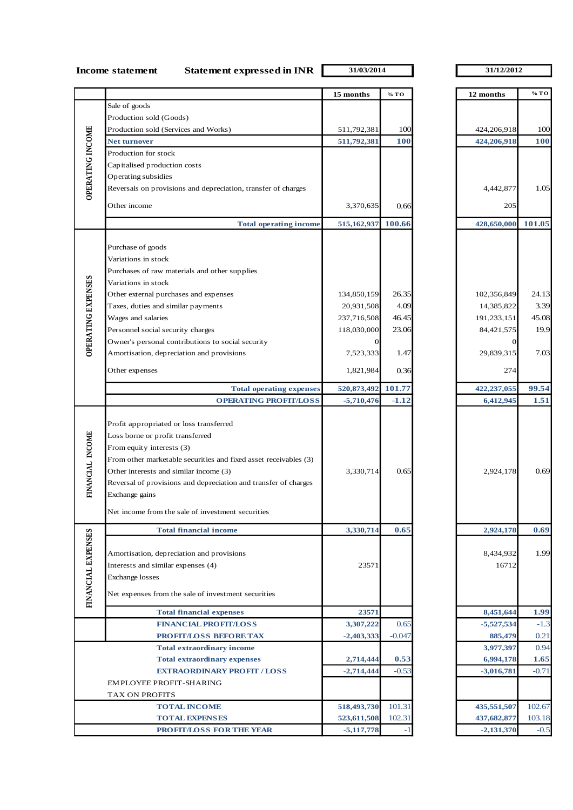**Income statement Statement expressed in INR**  $\overline{31/03/2014}$   $\overline{31/12/2012}$ 

|                           |                                                                                                                                                                                                                                                                                                             | 15 months    | % TO       | 12 months          | % TO       |
|---------------------------|-------------------------------------------------------------------------------------------------------------------------------------------------------------------------------------------------------------------------------------------------------------------------------------------------------------|--------------|------------|--------------------|------------|
|                           | Sale of goods                                                                                                                                                                                                                                                                                               |              |            |                    |            |
|                           | Production sold (Goods)                                                                                                                                                                                                                                                                                     |              |            |                    |            |
|                           | Production sold (Services and Works)                                                                                                                                                                                                                                                                        | 511,792,381  | 100        | 424,206,918        | 100        |
| OPERATING INCOME          | <b>Net turnover</b>                                                                                                                                                                                                                                                                                         | 511,792,381  | <b>100</b> | 424,206,918        | <b>100</b> |
|                           | Production for stock                                                                                                                                                                                                                                                                                        |              |            |                    |            |
|                           | Capitalised production costs                                                                                                                                                                                                                                                                                |              |            |                    |            |
|                           | Operating subsidies                                                                                                                                                                                                                                                                                         |              |            |                    |            |
|                           | Reversals on provisions and depreciation, transfer of charges                                                                                                                                                                                                                                               |              |            | 4,442,877          | 1.05       |
|                           |                                                                                                                                                                                                                                                                                                             |              |            |                    |            |
|                           | Other income                                                                                                                                                                                                                                                                                                | 3,370,635    | 0.66       | 205                |            |
|                           | <b>Total operating income</b>                                                                                                                                                                                                                                                                               | 515,162,937  | 100.66     | 428,650,000        | 101.05     |
|                           |                                                                                                                                                                                                                                                                                                             |              |            |                    |            |
|                           | Purchase of goods                                                                                                                                                                                                                                                                                           |              |            |                    |            |
|                           | Variations in stock                                                                                                                                                                                                                                                                                         |              |            |                    |            |
|                           | Purchases of raw materials and other supplies                                                                                                                                                                                                                                                               |              |            |                    |            |
|                           | Variations in stock                                                                                                                                                                                                                                                                                         |              |            |                    |            |
| <b>OPERATING EXPENSES</b> | Other external purchases and expenses                                                                                                                                                                                                                                                                       | 134,850,159  | 26.35      | 102,356,849        | 24.13      |
|                           | Taxes, duties and similar payments                                                                                                                                                                                                                                                                          | 20,931,508   | 4.09       | 14,385,822         | 3.39       |
|                           | Wages and salaries                                                                                                                                                                                                                                                                                          | 237,716,508  | 46.45      | 191,233,151        | 45.08      |
|                           | Personnel social security charges                                                                                                                                                                                                                                                                           | 118,030,000  | 23.06      | 84,421,575         | 19.9       |
|                           | Owner's personal contributions to social security                                                                                                                                                                                                                                                           | 0            |            | $\mathbf{0}$       |            |
|                           | Amortisation, depreciation and provisions                                                                                                                                                                                                                                                                   | 7,523,333    | 1.47       | 29,839,315         | 7.03       |
|                           | Other expenses                                                                                                                                                                                                                                                                                              | 1,821,984    | 0.36       | 274                |            |
|                           | <b>Total operating expenses</b>                                                                                                                                                                                                                                                                             | 520,873,492  | 101.77     | 422,237,055        | 99.54      |
|                           | <b>OPERATING PROFIT/LOSS</b>                                                                                                                                                                                                                                                                                | $-5,710,476$ | $-1.12$    | 6,412,945          | 1.51       |
| FINANCIAL INCOME          | Profit appropriated or loss transferred<br>Loss borne or profit transferred<br>From equity interests (3)<br>From other marketable securities and fixed asset receivables (3)<br>Other interests and similar income (3)<br>Reversal of provisions and depreciation and transfer of charges<br>Exchange gains | 3,330,714    | 0.65       | 2,924,178          | 0.69       |
|                           | Net income from the sale of investment securities                                                                                                                                                                                                                                                           |              |            |                    |            |
|                           | <b>Total financial income</b>                                                                                                                                                                                                                                                                               | 3,330,714    | 0.65       | 2,924,178          | 0.69       |
| FINANCIAL EXPENSES        | Amortisation, depreciation and provisions<br>Interests and similar expenses (4)<br>Exchange losses<br>Net expenses from the sale of investment securities                                                                                                                                                   | 23571        |            | 8,434,932<br>16712 | 1.99       |
|                           | <b>Total financial expenses</b>                                                                                                                                                                                                                                                                             | 23571        |            | 8,451,644          | 1.99       |
|                           | <b>FINANCIAL PROFIT/LOSS</b>                                                                                                                                                                                                                                                                                | 3,307,222    | 0.65       | $-5,527,534$       | $-1.3$     |
|                           | PROFIT/LOSS BEFORE TAX                                                                                                                                                                                                                                                                                      | $-2,403,333$ | $-0.047$   | 885,479            | 0.21       |
|                           | <b>Total extraordinary income</b>                                                                                                                                                                                                                                                                           |              |            | 3,977,397          | 0.94       |
|                           | <b>Total extraordinary expenses</b>                                                                                                                                                                                                                                                                         | 2,714,444    | 0.53       | 6,994,178          | 1.65       |
|                           | <b>EXTRAORDINARY PROFIT / LOSS</b>                                                                                                                                                                                                                                                                          | $-2,714,444$ | $-0.53$    | $-3,016,781$       | $-0.71$    |
|                           | EMPLOYEE PROFIT-SHARING                                                                                                                                                                                                                                                                                     |              |            |                    |            |
|                           | TAX ON PROFITS                                                                                                                                                                                                                                                                                              |              |            |                    |            |
|                           | <b>TOTAL INCOME</b>                                                                                                                                                                                                                                                                                         | 518,493,730  | 101.31     | 435,551,507        | 102.67     |
|                           | <b>TOTAL EXPENSES</b>                                                                                                                                                                                                                                                                                       | 523,611,508  | 102.31     | 437,682,877        | 103.18     |
|                           | <b>PROFIT/LOSS FOR THE YEAR</b>                                                                                                                                                                                                                                                                             | $-5,117,778$ |            | $-2,131,370$       | $-0.5$     |

| 12 months    | % TO       |
|--------------|------------|
|              |            |
|              |            |
| 424,206,918  | 100        |
| 424,206,918  | <b>100</b> |
|              |            |
|              |            |
|              |            |
| 4,442,877    | 1.05       |
| 205          |            |
|              |            |
| 428,650,000  | 101.05     |
|              |            |
|              |            |
|              |            |
|              |            |
|              |            |
| 102,356,849  | 24.13      |
| 14,385,822   | 3.39       |
| 191,233,151  | 45.08      |
| 84,421,575   | 19.9       |
| 0            |            |
| 29,839,315   | 7.03       |
|              |            |
| 274          |            |
| 422,237,055  | 99.54      |
| 6,412,945    | 1.51       |
|              |            |
|              |            |
|              |            |
|              |            |
|              |            |
| 2,924,178    | 0.69       |
|              |            |
|              |            |
|              |            |
|              |            |
| 2,924,178    | 0.69       |
|              |            |
| 8,434,932    | 1.99       |
| 16712        |            |
|              |            |
|              |            |
|              |            |
| 8,451,644    | 1.99       |
| $-5,527,534$ | $-1.3$     |
| 885,479      | 0.21       |
| 3,977,397    | 0.94       |
| 6,994,178    | 1.65       |
| $-3,016,781$ | $-0.71$    |
|              |            |
|              |            |
| 435,551,507  | 102.67     |
| 437,682,877  | 103.18     |
| $-2,131,370$ | $-0.5$     |
|              |            |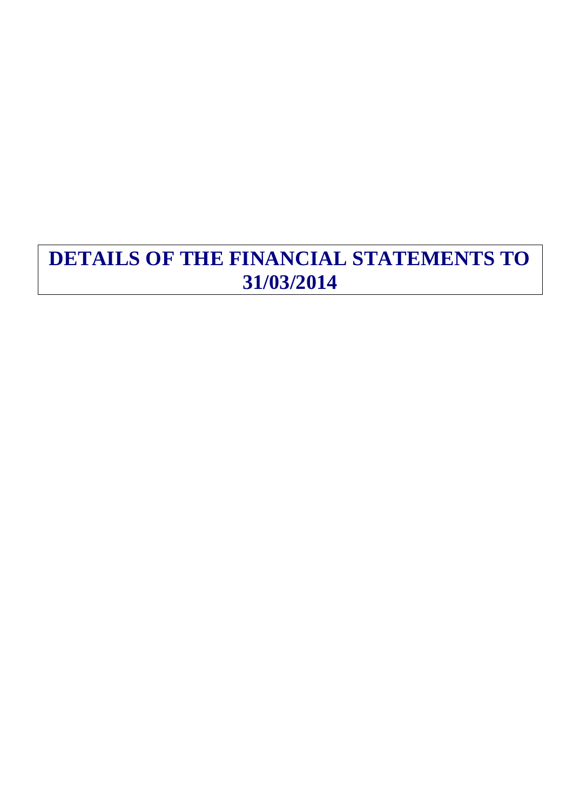## **DETAILS OF THE FINANCIAL STATEMENTS TO 31/03/2014**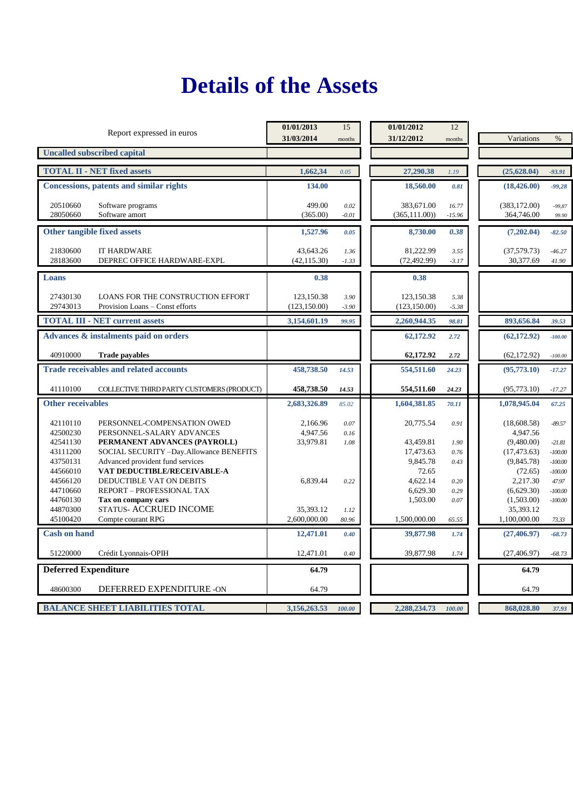## **Details of the Assets**

| Report expressed in euros                                                                                                                                                               | 01/01/2013<br>31/03/2014          | 15<br>months         | 01/01/2012<br>31/12/2012                   | 12<br>months          | Variations                                            | $\%$                                         |
|-----------------------------------------------------------------------------------------------------------------------------------------------------------------------------------------|-----------------------------------|----------------------|--------------------------------------------|-----------------------|-------------------------------------------------------|----------------------------------------------|
| <b>Uncalled subscribed capital</b>                                                                                                                                                      |                                   |                      |                                            |                       |                                                       |                                              |
| <b>TOTAL II - NET fixed assets</b>                                                                                                                                                      | 1,662,34                          | 0.05                 | 27,290.38                                  | 1.19                  | (25, 628.04)                                          | $-93.91$                                     |
| <b>Concessions, patents and similar rights</b>                                                                                                                                          | 134.00                            |                      | 18,560.00                                  | 0.81                  | (18, 426.00)                                          | $-99,28$                                     |
| 20510660<br>Software programs<br>28050660<br>Software amort                                                                                                                             | 499.00<br>(365.00)                | 0.02<br>$-0.01$      | 383,671.00<br>(365, 111.00)                | 16.77<br>$-15.96$     | (383, 172.00)<br>364,746.00                           | $-99,87$<br>99.90                            |
| Other tangible fixed assets                                                                                                                                                             | 1,527.96                          | 0.05                 | 8,730.00                                   | 0.38                  | (7,202.04)                                            | $-82.50$                                     |
| 21830600<br><b>IT HARDWARE</b><br>28183600<br>DEPREC OFFICE HARDWARE-EXPL                                                                                                               | 43,643.26<br>(42, 115.30)         | 1.36<br>$-1.33$      | 81,222.99<br>(72, 492.99)                  | 3.55<br>$-3.17$       | (37, 579.73)<br>30,377.69                             | $-46.27$<br>41.90                            |
| Loans                                                                                                                                                                                   | 0.38                              |                      | 0.38                                       |                       |                                                       |                                              |
| 27430130<br>LOANS FOR THE CONSTRUCTION EFFORT<br>29743013<br>Provision Loans - Const efforts                                                                                            | 123,150.38<br>(123, 150.00)       | 3.90<br>$-3.90$      | 123,150.38<br>(123, 150.00)                | 5.38<br>$-5.38$       |                                                       |                                              |
| <b>TOTAL III - NET current assets</b>                                                                                                                                                   | 3,154,601.19                      | 99.95                | 2,260,944.35                               | 98.81                 | 893,656.84                                            | 39.53                                        |
| Advances & instalments paid on orders                                                                                                                                                   |                                   |                      | 62,172.92                                  | 2.72                  | (62, 172.92)                                          | $-100.00$                                    |
| <b>Trade payables</b><br>40910000                                                                                                                                                       |                                   |                      | 62,172.92                                  | 2.72                  | (62, 172.92)                                          | $-100.00$                                    |
| <b>Trade receivables and related accounts</b>                                                                                                                                           | 458,738.50                        | 14.53                | 554,511.60                                 | 24.23                 | (95,773,10)                                           | $-17.27$                                     |
| 41110100<br>COLLECTIVE THIRD PARTY CUSTOMERS (PRODUCT)                                                                                                                                  | 458,738.50                        | 14.53                | 554,511.60                                 | 24.23                 | (95, 773.10)                                          | $-17.27$                                     |
| <b>Other receivables</b>                                                                                                                                                                | 2,683,326.89                      | 85.02                | 1,604,381.85                               | 70.11                 | 1,078,945.04                                          | 67.25                                        |
| 42110110<br>PERSONNEL-COMPENSATION OWED<br>42500230<br>PERSONNEL-SALARY ADVANCES<br>42541130<br>PERMANENT ADVANCES (PAYROLL)                                                            | 2,166.96<br>4,947.56<br>33,979.81 | 0.07<br>0.16<br>1.08 | 20,775.54<br>43,459.81                     | 0.91<br>1.90          | (18,608.58)<br>4,947.56<br>(9,480.00)                 | $-89.57$<br>$-21.81$                         |
| 43111200<br>SOCIAL SECURITY -Day. Allowance BENEFITS<br>43750131<br>Advanced provident fund services<br>44566010<br>VAT DEDUCTIBLE/RECEIVABLE-A<br>44566120<br>DEDUCTIBLE VAT ON DEBITS | 6,839.44                          | 0.22                 | 17,473.63<br>9,845.78<br>72.65<br>4,622.14 | 0.76<br>0.43<br>0.20  | (17, 473.63)<br>(9,845.78)<br>(72.65)<br>2,217.30     | $-100.00$<br>$-100.00$<br>$-100.00$<br>47.97 |
| REPORT - PROFESSIONAL TAX<br>44710660<br>44760130<br>Tax on company cars<br>STATUS- ACCRUED INCOME<br>44870300<br>45100420<br>Compte courant RPG                                        | 35.393.12<br>2,600,000.00         | 1.12<br>80.96        | 6,629.30<br>1,503.00<br>1,500,000.00       | 0.29<br>0.07<br>65.55 | (6,629.30)<br>(1,503.00)<br>35,393.12<br>1,100,000.00 | $-100.00$<br>$-100.00$<br>73.33              |
| <b>Cash on hand</b>                                                                                                                                                                     | 12,471.01                         | 0.40                 | 39,877.98                                  | 1.74                  | (27, 406.97)                                          | $-68.73$                                     |
| 51220000<br>Crédit Lyonnais-OPIH                                                                                                                                                        | 12,471.01                         | $0.40\,$             | 39,877.98                                  | 1.74                  | (27, 406.97)                                          | $-68.73$                                     |
| <b>Deferred Expenditure</b>                                                                                                                                                             | 64.79                             |                      |                                            |                       | 64.79                                                 |                                              |
| DEFERRED EXPENDITURE -ON<br>48600300                                                                                                                                                    | 64.79                             |                      |                                            |                       | 64.79                                                 |                                              |
| <b>BALANCE SHEET LIABILITIES TOTAL</b>                                                                                                                                                  | 3,156,263.53                      | 100.00               | 2,288,234.73                               | 100.00                | 868,028.80                                            | 37.93                                        |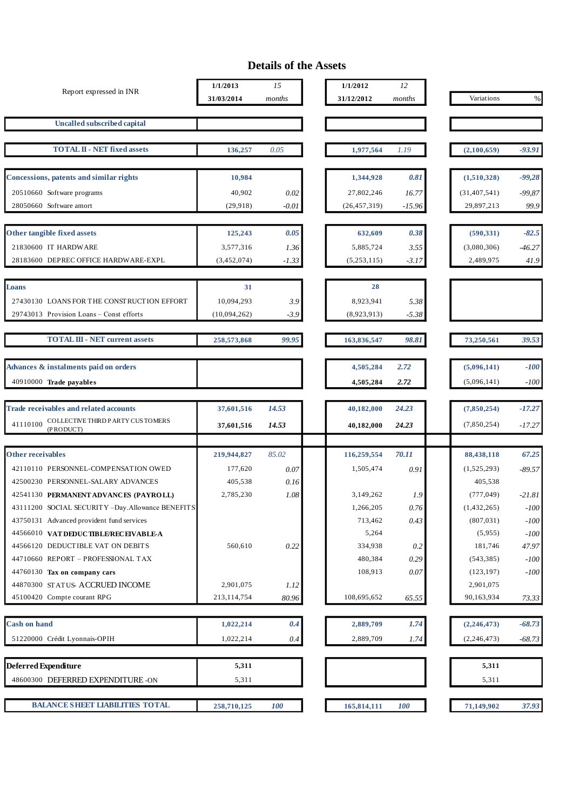### **Details of the Assets**

| <b>Uncalled subscribed capital</b><br><b>TOTAL II - NET fixed assets</b><br>136,257<br>0.05<br>1,977,564<br>1.19<br>(2,100,659)<br><b>Concessions, patents and similar rights</b><br>0.81<br>10,984<br>1,344,928<br>(1,510,328)<br>40,902<br>27,802,246<br>(31, 407, 541)<br>20510660 Software programs<br>0.02<br>16.77<br>28050660 Software amort<br>29,897,213<br>(29, 918)<br>$-0.01$<br>(26, 457, 319)<br>$-15.96$<br>Other tangible fixed assets<br>125,243<br>0.05<br>632,609<br>0.38<br>(590, 331)<br>21830600 IT HARDWARE<br>3,577,316<br>5,885,724<br>(3,080,306)<br>3.55<br>1.36<br>28183600 DEPREC OFFICE HARDWARE-EXPL<br>2,489,975<br>(3,452,074)<br>(5,253,115)<br>$-1.33$<br>$-3.17$<br>28<br>31<br>Loans<br>10,094,293<br>8,923,941<br>27430130 LOANS FOR THE CONSTRUCTION EFFORT<br>3.9<br>5.38<br>29743013 Provision Loans - Const efforts<br>(10,094,262)<br>-3.9<br>(8,923,913)<br>-5.38<br><b>TOTAL III - NET current assets</b><br>99.95<br>73,250,561<br>258,573,868<br>163,836,547<br>98.81<br>Advances & instalments paid on orders<br>4,505,284<br>2.72<br>(5,096,141)<br>40910000 Trade payables<br>(5,096,141)<br>2.72<br>4,505,284<br><b>Trade receivables and related accounts</b><br>37,601,516<br>14.53<br>40,182,000<br>24.23<br>(7,850,254)<br>$\textsc{COLLECTVE}$ THRD PARTY CUS TOMERS<br>41110100<br>24.23<br>(7,850,254)<br>14.53<br>37,601,516<br>40,182,000<br>(PRODUCT)<br>Other receivables<br>85.02<br>219,944,827<br>116,259,554<br>70.11<br>88,438,118<br>1,505,474<br>42110110 PERSONNEL-COMPENSATION OWED<br>177,620<br>0.07<br>0.91<br>(1,525,293)<br>42500230 PERSONNEL-SALARY ADVANCES<br>405,538<br>405,538<br>0.16<br>2,785,230<br>3,149,262<br>(777, 049)<br>42541130 PERMANENT ADVANCES (PAYROLL)<br>1.08<br>1.9<br>43111200 SOCIAL SECURITY -Day.Allowance BENEFITS<br>$0.76\,$<br>1,266,205<br>(1,432,265)<br>43750131 Advanced provident fund services<br>713,462<br>0.43<br>(807, 031)<br>5,264<br>44566010 VATDEDUCTIBLE/RECEIVABLE-A<br>(5,955)<br>44566120 DEDUCTIBLE VAT ON DEBITS<br>560,610<br>0.22<br>334,938<br>181,746<br>0.2<br>44710660 REPORT - PROFESSIONAL TAX<br>480,384<br>0.29<br>(543, 385)<br>108,913<br>$0.07\,$<br>(123, 197)<br>44760130 Tax on company cars<br>44870300 STATUS- ACCRUED INCOME<br>2,901,075<br>2,901,075<br>1.12<br>45100420 Compte courant RPG<br>213,114,754<br>108,695,652<br>90,163,934<br>80.96<br>65.55<br><b>Cash on hand</b><br>2,889,709<br>1.74<br>(2,246,473)<br>1,022,214<br>0.4 | Report expressed in INR | 1/1/2013<br>31/03/2014 | 15<br>months | 1/1/2012<br>31/12/2012 | 12<br>months | Variations | $\%$     |
|-------------------------------------------------------------------------------------------------------------------------------------------------------------------------------------------------------------------------------------------------------------------------------------------------------------------------------------------------------------------------------------------------------------------------------------------------------------------------------------------------------------------------------------------------------------------------------------------------------------------------------------------------------------------------------------------------------------------------------------------------------------------------------------------------------------------------------------------------------------------------------------------------------------------------------------------------------------------------------------------------------------------------------------------------------------------------------------------------------------------------------------------------------------------------------------------------------------------------------------------------------------------------------------------------------------------------------------------------------------------------------------------------------------------------------------------------------------------------------------------------------------------------------------------------------------------------------------------------------------------------------------------------------------------------------------------------------------------------------------------------------------------------------------------------------------------------------------------------------------------------------------------------------------------------------------------------------------------------------------------------------------------------------------------------------------------------------------------------------------------------------------------------------------------------------------------------------------------------------------------------------------------------------------------------------------------------------------------------------------------------------------------------------------------------------------------------------------------------------------------------|-------------------------|------------------------|--------------|------------------------|--------------|------------|----------|
|                                                                                                                                                                                                                                                                                                                                                                                                                                                                                                                                                                                                                                                                                                                                                                                                                                                                                                                                                                                                                                                                                                                                                                                                                                                                                                                                                                                                                                                                                                                                                                                                                                                                                                                                                                                                                                                                                                                                                                                                                                                                                                                                                                                                                                                                                                                                                                                                                                                                                                 |                         |                        |              |                        |              |            |          |
|                                                                                                                                                                                                                                                                                                                                                                                                                                                                                                                                                                                                                                                                                                                                                                                                                                                                                                                                                                                                                                                                                                                                                                                                                                                                                                                                                                                                                                                                                                                                                                                                                                                                                                                                                                                                                                                                                                                                                                                                                                                                                                                                                                                                                                                                                                                                                                                                                                                                                                 |                         |                        |              |                        |              |            |          |
|                                                                                                                                                                                                                                                                                                                                                                                                                                                                                                                                                                                                                                                                                                                                                                                                                                                                                                                                                                                                                                                                                                                                                                                                                                                                                                                                                                                                                                                                                                                                                                                                                                                                                                                                                                                                                                                                                                                                                                                                                                                                                                                                                                                                                                                                                                                                                                                                                                                                                                 |                         |                        |              |                        |              |            | $-93.91$ |
|                                                                                                                                                                                                                                                                                                                                                                                                                                                                                                                                                                                                                                                                                                                                                                                                                                                                                                                                                                                                                                                                                                                                                                                                                                                                                                                                                                                                                                                                                                                                                                                                                                                                                                                                                                                                                                                                                                                                                                                                                                                                                                                                                                                                                                                                                                                                                                                                                                                                                                 |                         |                        |              |                        |              |            | $-99,28$ |
|                                                                                                                                                                                                                                                                                                                                                                                                                                                                                                                                                                                                                                                                                                                                                                                                                                                                                                                                                                                                                                                                                                                                                                                                                                                                                                                                                                                                                                                                                                                                                                                                                                                                                                                                                                                                                                                                                                                                                                                                                                                                                                                                                                                                                                                                                                                                                                                                                                                                                                 |                         |                        |              |                        |              |            | $-99,87$ |
|                                                                                                                                                                                                                                                                                                                                                                                                                                                                                                                                                                                                                                                                                                                                                                                                                                                                                                                                                                                                                                                                                                                                                                                                                                                                                                                                                                                                                                                                                                                                                                                                                                                                                                                                                                                                                                                                                                                                                                                                                                                                                                                                                                                                                                                                                                                                                                                                                                                                                                 |                         |                        |              |                        |              |            | 99.9     |
|                                                                                                                                                                                                                                                                                                                                                                                                                                                                                                                                                                                                                                                                                                                                                                                                                                                                                                                                                                                                                                                                                                                                                                                                                                                                                                                                                                                                                                                                                                                                                                                                                                                                                                                                                                                                                                                                                                                                                                                                                                                                                                                                                                                                                                                                                                                                                                                                                                                                                                 |                         |                        |              |                        |              |            | $-82.5$  |
|                                                                                                                                                                                                                                                                                                                                                                                                                                                                                                                                                                                                                                                                                                                                                                                                                                                                                                                                                                                                                                                                                                                                                                                                                                                                                                                                                                                                                                                                                                                                                                                                                                                                                                                                                                                                                                                                                                                                                                                                                                                                                                                                                                                                                                                                                                                                                                                                                                                                                                 |                         |                        |              |                        |              |            | $-46.27$ |
|                                                                                                                                                                                                                                                                                                                                                                                                                                                                                                                                                                                                                                                                                                                                                                                                                                                                                                                                                                                                                                                                                                                                                                                                                                                                                                                                                                                                                                                                                                                                                                                                                                                                                                                                                                                                                                                                                                                                                                                                                                                                                                                                                                                                                                                                                                                                                                                                                                                                                                 |                         |                        |              |                        |              |            | 41.9     |
|                                                                                                                                                                                                                                                                                                                                                                                                                                                                                                                                                                                                                                                                                                                                                                                                                                                                                                                                                                                                                                                                                                                                                                                                                                                                                                                                                                                                                                                                                                                                                                                                                                                                                                                                                                                                                                                                                                                                                                                                                                                                                                                                                                                                                                                                                                                                                                                                                                                                                                 |                         |                        |              |                        |              |            |          |
|                                                                                                                                                                                                                                                                                                                                                                                                                                                                                                                                                                                                                                                                                                                                                                                                                                                                                                                                                                                                                                                                                                                                                                                                                                                                                                                                                                                                                                                                                                                                                                                                                                                                                                                                                                                                                                                                                                                                                                                                                                                                                                                                                                                                                                                                                                                                                                                                                                                                                                 |                         |                        |              |                        |              |            |          |
|                                                                                                                                                                                                                                                                                                                                                                                                                                                                                                                                                                                                                                                                                                                                                                                                                                                                                                                                                                                                                                                                                                                                                                                                                                                                                                                                                                                                                                                                                                                                                                                                                                                                                                                                                                                                                                                                                                                                                                                                                                                                                                                                                                                                                                                                                                                                                                                                                                                                                                 |                         |                        |              |                        |              |            |          |
|                                                                                                                                                                                                                                                                                                                                                                                                                                                                                                                                                                                                                                                                                                                                                                                                                                                                                                                                                                                                                                                                                                                                                                                                                                                                                                                                                                                                                                                                                                                                                                                                                                                                                                                                                                                                                                                                                                                                                                                                                                                                                                                                                                                                                                                                                                                                                                                                                                                                                                 |                         |                        |              |                        |              |            | 39.53    |
|                                                                                                                                                                                                                                                                                                                                                                                                                                                                                                                                                                                                                                                                                                                                                                                                                                                                                                                                                                                                                                                                                                                                                                                                                                                                                                                                                                                                                                                                                                                                                                                                                                                                                                                                                                                                                                                                                                                                                                                                                                                                                                                                                                                                                                                                                                                                                                                                                                                                                                 |                         |                        |              |                        |              |            | $-100$   |
|                                                                                                                                                                                                                                                                                                                                                                                                                                                                                                                                                                                                                                                                                                                                                                                                                                                                                                                                                                                                                                                                                                                                                                                                                                                                                                                                                                                                                                                                                                                                                                                                                                                                                                                                                                                                                                                                                                                                                                                                                                                                                                                                                                                                                                                                                                                                                                                                                                                                                                 |                         |                        |              |                        |              |            | $-100$   |
|                                                                                                                                                                                                                                                                                                                                                                                                                                                                                                                                                                                                                                                                                                                                                                                                                                                                                                                                                                                                                                                                                                                                                                                                                                                                                                                                                                                                                                                                                                                                                                                                                                                                                                                                                                                                                                                                                                                                                                                                                                                                                                                                                                                                                                                                                                                                                                                                                                                                                                 |                         |                        |              |                        |              |            |          |
|                                                                                                                                                                                                                                                                                                                                                                                                                                                                                                                                                                                                                                                                                                                                                                                                                                                                                                                                                                                                                                                                                                                                                                                                                                                                                                                                                                                                                                                                                                                                                                                                                                                                                                                                                                                                                                                                                                                                                                                                                                                                                                                                                                                                                                                                                                                                                                                                                                                                                                 |                         |                        |              |                        |              |            | $-17.27$ |
|                                                                                                                                                                                                                                                                                                                                                                                                                                                                                                                                                                                                                                                                                                                                                                                                                                                                                                                                                                                                                                                                                                                                                                                                                                                                                                                                                                                                                                                                                                                                                                                                                                                                                                                                                                                                                                                                                                                                                                                                                                                                                                                                                                                                                                                                                                                                                                                                                                                                                                 |                         |                        |              |                        |              |            | $-17.27$ |
|                                                                                                                                                                                                                                                                                                                                                                                                                                                                                                                                                                                                                                                                                                                                                                                                                                                                                                                                                                                                                                                                                                                                                                                                                                                                                                                                                                                                                                                                                                                                                                                                                                                                                                                                                                                                                                                                                                                                                                                                                                                                                                                                                                                                                                                                                                                                                                                                                                                                                                 |                         |                        |              |                        |              |            | 67.25    |
|                                                                                                                                                                                                                                                                                                                                                                                                                                                                                                                                                                                                                                                                                                                                                                                                                                                                                                                                                                                                                                                                                                                                                                                                                                                                                                                                                                                                                                                                                                                                                                                                                                                                                                                                                                                                                                                                                                                                                                                                                                                                                                                                                                                                                                                                                                                                                                                                                                                                                                 |                         |                        |              |                        |              |            | $-89.57$ |
|                                                                                                                                                                                                                                                                                                                                                                                                                                                                                                                                                                                                                                                                                                                                                                                                                                                                                                                                                                                                                                                                                                                                                                                                                                                                                                                                                                                                                                                                                                                                                                                                                                                                                                                                                                                                                                                                                                                                                                                                                                                                                                                                                                                                                                                                                                                                                                                                                                                                                                 |                         |                        |              |                        |              |            |          |
|                                                                                                                                                                                                                                                                                                                                                                                                                                                                                                                                                                                                                                                                                                                                                                                                                                                                                                                                                                                                                                                                                                                                                                                                                                                                                                                                                                                                                                                                                                                                                                                                                                                                                                                                                                                                                                                                                                                                                                                                                                                                                                                                                                                                                                                                                                                                                                                                                                                                                                 |                         |                        |              |                        |              |            | $-21.81$ |
|                                                                                                                                                                                                                                                                                                                                                                                                                                                                                                                                                                                                                                                                                                                                                                                                                                                                                                                                                                                                                                                                                                                                                                                                                                                                                                                                                                                                                                                                                                                                                                                                                                                                                                                                                                                                                                                                                                                                                                                                                                                                                                                                                                                                                                                                                                                                                                                                                                                                                                 |                         |                        |              |                        |              |            | $-100$   |
|                                                                                                                                                                                                                                                                                                                                                                                                                                                                                                                                                                                                                                                                                                                                                                                                                                                                                                                                                                                                                                                                                                                                                                                                                                                                                                                                                                                                                                                                                                                                                                                                                                                                                                                                                                                                                                                                                                                                                                                                                                                                                                                                                                                                                                                                                                                                                                                                                                                                                                 |                         |                        |              |                        |              |            | $-100$   |
|                                                                                                                                                                                                                                                                                                                                                                                                                                                                                                                                                                                                                                                                                                                                                                                                                                                                                                                                                                                                                                                                                                                                                                                                                                                                                                                                                                                                                                                                                                                                                                                                                                                                                                                                                                                                                                                                                                                                                                                                                                                                                                                                                                                                                                                                                                                                                                                                                                                                                                 |                         |                        |              |                        |              |            | $-100$   |
|                                                                                                                                                                                                                                                                                                                                                                                                                                                                                                                                                                                                                                                                                                                                                                                                                                                                                                                                                                                                                                                                                                                                                                                                                                                                                                                                                                                                                                                                                                                                                                                                                                                                                                                                                                                                                                                                                                                                                                                                                                                                                                                                                                                                                                                                                                                                                                                                                                                                                                 |                         |                        |              |                        |              |            | 47.97    |
|                                                                                                                                                                                                                                                                                                                                                                                                                                                                                                                                                                                                                                                                                                                                                                                                                                                                                                                                                                                                                                                                                                                                                                                                                                                                                                                                                                                                                                                                                                                                                                                                                                                                                                                                                                                                                                                                                                                                                                                                                                                                                                                                                                                                                                                                                                                                                                                                                                                                                                 |                         |                        |              |                        |              |            | $-100$   |
|                                                                                                                                                                                                                                                                                                                                                                                                                                                                                                                                                                                                                                                                                                                                                                                                                                                                                                                                                                                                                                                                                                                                                                                                                                                                                                                                                                                                                                                                                                                                                                                                                                                                                                                                                                                                                                                                                                                                                                                                                                                                                                                                                                                                                                                                                                                                                                                                                                                                                                 |                         |                        |              |                        |              |            | $-100$   |
|                                                                                                                                                                                                                                                                                                                                                                                                                                                                                                                                                                                                                                                                                                                                                                                                                                                                                                                                                                                                                                                                                                                                                                                                                                                                                                                                                                                                                                                                                                                                                                                                                                                                                                                                                                                                                                                                                                                                                                                                                                                                                                                                                                                                                                                                                                                                                                                                                                                                                                 |                         |                        |              |                        |              |            | 73.33    |
|                                                                                                                                                                                                                                                                                                                                                                                                                                                                                                                                                                                                                                                                                                                                                                                                                                                                                                                                                                                                                                                                                                                                                                                                                                                                                                                                                                                                                                                                                                                                                                                                                                                                                                                                                                                                                                                                                                                                                                                                                                                                                                                                                                                                                                                                                                                                                                                                                                                                                                 |                         |                        |              |                        |              |            |          |
|                                                                                                                                                                                                                                                                                                                                                                                                                                                                                                                                                                                                                                                                                                                                                                                                                                                                                                                                                                                                                                                                                                                                                                                                                                                                                                                                                                                                                                                                                                                                                                                                                                                                                                                                                                                                                                                                                                                                                                                                                                                                                                                                                                                                                                                                                                                                                                                                                                                                                                 |                         |                        |              |                        |              |            | $-68.73$ |
| 51220000 Crédit Lyonnais-OPIH<br>1,022,214<br>2,889,709<br>(2, 246, 473)<br>0.4<br>1.74                                                                                                                                                                                                                                                                                                                                                                                                                                                                                                                                                                                                                                                                                                                                                                                                                                                                                                                                                                                                                                                                                                                                                                                                                                                                                                                                                                                                                                                                                                                                                                                                                                                                                                                                                                                                                                                                                                                                                                                                                                                                                                                                                                                                                                                                                                                                                                                                         |                         |                        |              |                        |              |            | $-68.73$ |
| Deferred Expenditure<br>5,311<br>5,311                                                                                                                                                                                                                                                                                                                                                                                                                                                                                                                                                                                                                                                                                                                                                                                                                                                                                                                                                                                                                                                                                                                                                                                                                                                                                                                                                                                                                                                                                                                                                                                                                                                                                                                                                                                                                                                                                                                                                                                                                                                                                                                                                                                                                                                                                                                                                                                                                                                          |                         |                        |              |                        |              |            |          |
| 48600300 DEFERRED EXPENDITURE -ON<br>5,311<br>5,311                                                                                                                                                                                                                                                                                                                                                                                                                                                                                                                                                                                                                                                                                                                                                                                                                                                                                                                                                                                                                                                                                                                                                                                                                                                                                                                                                                                                                                                                                                                                                                                                                                                                                                                                                                                                                                                                                                                                                                                                                                                                                                                                                                                                                                                                                                                                                                                                                                             |                         |                        |              |                        |              |            |          |
| <b>BALANCE SHEET LIABILITIES TOTAL</b><br><b>100</b><br>165,814,111<br><b>100</b><br>71,149,902<br>258,710,125                                                                                                                                                                                                                                                                                                                                                                                                                                                                                                                                                                                                                                                                                                                                                                                                                                                                                                                                                                                                                                                                                                                                                                                                                                                                                                                                                                                                                                                                                                                                                                                                                                                                                                                                                                                                                                                                                                                                                                                                                                                                                                                                                                                                                                                                                                                                                                                  |                         |                        |              |                        |              |            | 37.93    |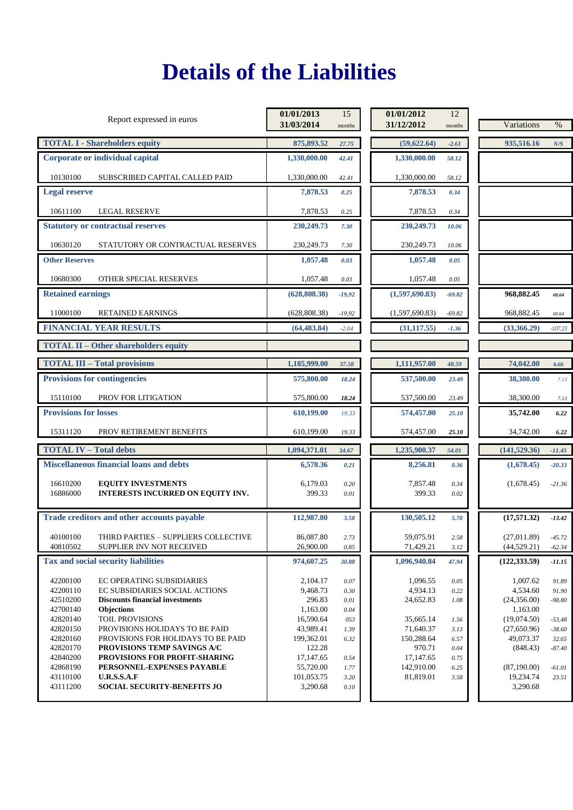# **Details of the Liabilities**

| Report expressed in euros                                                                                                                                                                                                                                      | 01/01/2013<br>31/03/2014                                                 | 15<br>months                                | 01/01/2012<br>31/12/2012                                     | 12<br>months                         | Variations                                                                    | $\%$                                               |
|----------------------------------------------------------------------------------------------------------------------------------------------------------------------------------------------------------------------------------------------------------------|--------------------------------------------------------------------------|---------------------------------------------|--------------------------------------------------------------|--------------------------------------|-------------------------------------------------------------------------------|----------------------------------------------------|
| <b>TOTAL I - Shareholders equity</b>                                                                                                                                                                                                                           | 875,893.52                                                               | 27.75                                       | (59, 622.64)                                                 | $-2.61$                              | 935,516.16                                                                    | N/S                                                |
| Corporate or individual capital                                                                                                                                                                                                                                | 1,330,000.00                                                             | 42.41                                       | 1,330,000.00                                                 | 58.12                                |                                                                               |                                                    |
| 10130100<br>SUBSCRIBED CAPITAL CALLED PAID                                                                                                                                                                                                                     | 1,330,000.00                                                             | 42.41                                       | 1,330,000.00                                                 | 58.12                                |                                                                               |                                                    |
| <b>Legal reserve</b>                                                                                                                                                                                                                                           | 7,878.53                                                                 | 0.25                                        | 7,878.53                                                     | 0.34                                 |                                                                               |                                                    |
| 10611100<br><b>LEGAL RESERVE</b>                                                                                                                                                                                                                               | 7,878.53                                                                 | 0.25                                        | 7,878.53                                                     | 0.34                                 |                                                                               |                                                    |
| <b>Statutory or contractual reserves</b>                                                                                                                                                                                                                       | 230,249.73                                                               | 7.30                                        | 230,249.73                                                   | 10.06                                |                                                                               |                                                    |
| 10630120<br>STATUTORY OR CONTRACTUAL RESERVES                                                                                                                                                                                                                  | 230,249.73                                                               | 7.30                                        | 230,249.73                                                   | 10.06                                |                                                                               |                                                    |
| <b>Other Reserves</b>                                                                                                                                                                                                                                          | 1,057.48                                                                 | 0.03                                        | 1,057.48                                                     | 0.05                                 |                                                                               |                                                    |
| 10680300<br>OTHER SPECIAL RESERVES                                                                                                                                                                                                                             | 1,057.48                                                                 | 0.03                                        | 1,057.48                                                     | 0.05                                 |                                                                               |                                                    |
| <b>Retained earnings</b>                                                                                                                                                                                                                                       | (628, 808.38)                                                            | $-19,92$                                    | (1,597,690.83)                                               | $-69.82$                             | 968,882.45                                                                    | 60.64                                              |
| 11000100<br><b>RETAINED EARNINGS</b>                                                                                                                                                                                                                           | (628, 808.38)                                                            | $-19,92$                                    | (1,597,690.83)                                               | $-69.82$                             | 968,882.45                                                                    | 60.64                                              |
| <b>FINANCIAL YEAR RESULTS</b>                                                                                                                                                                                                                                  | (64, 483.84)                                                             | $-2.04$                                     | (31, 117.55)                                                 | $-1.36$                              | (33,366.29)                                                                   | $-107.23$                                          |
| <b>TOTAL II - Other shareholders equity</b>                                                                                                                                                                                                                    |                                                                          |                                             |                                                              |                                      |                                                                               |                                                    |
| <b>TOTAL III - Total provisions</b>                                                                                                                                                                                                                            | 1,185,999.00                                                             | 37.58                                       | 1,111,957.00                                                 | 48.59                                | 74,042.00                                                                     | 6.66                                               |
| <b>Provisions for contingencies</b>                                                                                                                                                                                                                            | 575,800.00                                                               | 18.24                                       | 537,500.00                                                   | 23.49                                | 38,300.00                                                                     | 7.13                                               |
| 15110100<br>PROV FOR LITIGATION                                                                                                                                                                                                                                | 575,800.00                                                               | 18.24                                       | 537,500.00                                                   | 23.49                                | 38,300.00                                                                     | 7.13                                               |
| <b>Provisions for losses</b>                                                                                                                                                                                                                                   | 610,199.00                                                               | 19.33                                       | 574,457.00                                                   | 25.10                                | 35,742.00                                                                     | 6.22                                               |
| 15311120<br>PROV RETIREMENT BENEFITS                                                                                                                                                                                                                           | 610,199.00                                                               | 19.33                                       | 574,457.00                                                   | 25.10                                | 34,742.00                                                                     | 6.22                                               |
| <b>TOTAL IV - Total debts</b>                                                                                                                                                                                                                                  | 1,094,371.01                                                             | 34.67                                       | 1,235,900.37                                                 | 54.01                                | (141, 529.36)                                                                 | $-11.45$                                           |
| <b>Miscellaneous financial loans and debts</b>                                                                                                                                                                                                                 | 6,578.36                                                                 | 0.21                                        | 8,256.81                                                     | 0.36                                 | (1,678.45)                                                                    | $-20.33$                                           |
| 16610200<br><b>EQUITY INVESTMENTS</b><br>INTERESTS INCURRED ON EQUITY INV.<br>16886000                                                                                                                                                                         | 6,179.03<br>399.33                                                       | 0.20<br>0.01                                | 7,857.48<br>399.33                                           | 0.34<br>0.02                         | (1,678.45)                                                                    | $-21.36$                                           |
| Trade creditors and other accounts payable                                                                                                                                                                                                                     | 112,987.80                                                               | 3.58                                        | 130,505.12                                                   | 5.70                                 | (17,571.32)                                                                   | $-13.42$                                           |
| 40100100<br>THIRD PARTIES – SUPPLIERS COLLECTIVE<br>40810502<br>SUPPLIER INV NOT RECEIVED                                                                                                                                                                      | 86,087.80<br>26,900.00                                                   | 2.73<br>0.85                                | 59,075.91<br>71,429.21                                       | 2.58<br>3.12                         | (27,011.89)<br>(44, 529.21)                                                   | $-45.72$<br>$-62.34$                               |
| Tax and social security liabilities                                                                                                                                                                                                                            | 974,607.25                                                               | 30.88                                       | 1,096,940.84                                                 | 47.94                                | (122, 333.59)                                                                 | $-11.15$                                           |
| 42200100<br><b>EC OPERATING SUBSIDIARIES</b><br>42200110<br>EC SUBSIDIARIES SOCIAL ACTIONS<br>42510200<br><b>Discounts financial investments</b><br>42700140<br><b>Objections</b><br>TOIL PROVISIONS<br>42820140<br>42820150<br>PROVISIONS HOLIDAYS TO BE PAID | 2.104.17<br>9,468.73<br>296.83<br>1,163.00<br>16,590.64<br>43,989.41     | 0.07<br>0.30<br>0.01<br>0.04<br>053<br>1.39 | 1,096.55<br>4,934.13<br>24,652.83<br>35,665.14<br>71,640.37  | 0.05<br>0.22<br>1.08<br>1.56<br>3.13 | 1,007.62<br>4,534.60<br>(24,356.00)<br>1,163.00<br>(19,074.50)<br>(27,650.96) | 91.89<br>91.90<br>$-98.80$<br>$-53,48$<br>$-38.60$ |
| 42820160<br>PROVISIONS FOR HOLIDAYS TO BE PAID<br>42820170<br>PROVISIONS TEMP SAVINGS A/C<br>42840200<br>PROVISIONS FOR PROFIT-SHARING<br>42868190<br>PERSONNEL-EXPENSES PAYABLE<br>43110100<br><b>U.R.S.S.A.F</b><br>43111200<br>SOCIAL SECURITY-BENEFITS JO  | 199,362.01<br>122.28<br>17,147.65<br>55,720.00<br>101,053.75<br>3,290.68 | 6.32<br>0.54<br>1.77<br>3.20<br>0.10        | 150,288.64<br>970.71<br>17,147.65<br>142,910.00<br>81,819.01 | 6.57<br>0.04<br>0.75<br>6.25<br>3.58 | 49,073.37<br>(848.43)<br>(87,190.00)<br>19,234.74<br>3,290.68                 | 32.65<br>$-87.40$<br>$-61.01$<br>23.51             |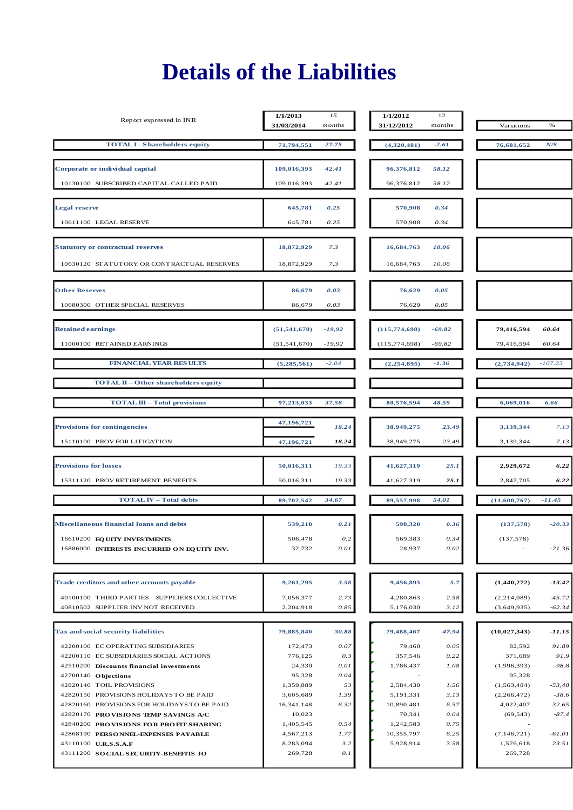# **Details of the Liabilities**

| Report expressed in INR                                                             | 1/1/2013<br>31/03/2014 | 15<br>months | 1/1/2012<br>31/12/2012 | 12<br>months | Variations                 | $\%$                 |
|-------------------------------------------------------------------------------------|------------------------|--------------|------------------------|--------------|----------------------------|----------------------|
| <b>TOTAL I - Shareholders equity</b>                                                | 71,794,551             | 27.75        | (4,320,481)            | $-2.61$      | 76,681,652                 | N/S                  |
| Corporate or individual capital                                                     | 109,016,393            | 42.41        | 96,376,812             | 58.12        |                            |                      |
| 10130100 SUBSCRIBED CAPITAL CALLED PAID                                             | 109,016,393            | 42.41        | 96,376,812             | 58.12        |                            |                      |
|                                                                                     |                        |              |                        |              |                            |                      |
| <b>Legal reserve</b>                                                                | 645,781                | 0.25         | 570,908                | 0.34         |                            |                      |
| 10611100 LEGAL RESERVE                                                              | 645,781                | 0.25         | 570,908                | 0.34         |                            |                      |
| <b>Statutory or contractual reserves</b>                                            | 18,872,929             | 7.3          | 16,684,763             | 10.06        |                            |                      |
| 10630120 STATUTORY OR CONTRACTUAL RESERVES                                          | 18,872,929             | 7.3          | 16,684,763             | 10.06        |                            |                      |
| <b>Other Reserves</b>                                                               | 86,679                 | 0.03         | 76,629                 | 0.05         |                            |                      |
| 10680300 OTHER SPECIAL RESERVES                                                     | 86,679                 | 0.03         | 76,629                 | 0.05         |                            |                      |
|                                                                                     | (51, 541, 670)         | $-19,92$     | (115, 774, 698)        | $-69.82$     | 79,416,594                 | 60.64                |
| <b>Retained earnings</b><br>11000100 RETAINED EARNINGS                              | (51, 541, 670)         | $-19,92$     | (115, 774, 698)        | $-69.82$     | 79,416,594                 | 60.64                |
|                                                                                     |                        |              |                        |              |                            |                      |
| <b>FINANCIAL YEAR RESULTS</b>                                                       | (5,285,561)            | $-2.04$      | (2, 254, 895)          | $-1.36$      | (2,734,942)                | $-107.23$            |
| <b>TOTAL II - Other shareholders equity</b>                                         |                        |              |                        |              |                            |                      |
| <b>TOTAL III - Total provisions</b>                                                 | 97,213,033             | 37.58        | 80,576,594             | 48.59        | 6,069,016                  | 6.66                 |
| <b>Provisions for contingencies</b>                                                 | 47,196,721             | 18.24        | 38,949,275             | 23.49        | 3,139,344                  | 7.13                 |
| 15110100 PROV FOR LITIGATION                                                        | 47,196,721             | 18.24        | 38,949,275             | 23.49        | 3,139,344                  | 7.13                 |
| <b>Provisions for losses</b>                                                        | 50,016,311             | 19.33        | 41,627,319             | 25.1         | 2,929,672                  | 6.22                 |
| 15311120 PROV RETIREMENT BENEFITS                                                   | 50,016,311             | 19.33        | 41,627,319             | 25.1         | 2,847,705                  | 6.22                 |
| <b>TOTAL IV - Total debts</b>                                                       | 89,702,542             | 34.67        | 89,557,998             | 54.01        | (11,600,767)               | $-11.45$             |
| Miscellaneous financial loans and debts                                             | 539,210                | 0.21         | 598,320                | 0.36         | (137,578)                  | $-20.33$             |
| 16610200 EQ UITY INVESTMENTS                                                        | 506,478                | 0.2          | 569,383                | 0.34         | (137, 578)                 |                      |
| 16886000 INTERESTS INCURRED ON EQUITY INV.                                          | 32,732                 | 0.01         | 28,937                 | 0.02         |                            | $-21.36$             |
|                                                                                     |                        |              |                        |              |                            |                      |
| Trade creditors and other accounts payable                                          | 9,261,295              | 3.58         | 9,456,893              | 5.7          | (1,440,272)                | $-13.42$             |
| 40100100 THIRD PARTIES - SUPPLIERS COLLECTIVE<br>40810502 SUPPLIER INV NOT RECEIVED | 7,056,377<br>2,204,918 | 2.73<br>0.85 | 4,280,863<br>5,176,030 | 2.58<br>3.12 | (2,214,089)<br>(3,649,935) | $-45.72$<br>$-62.34$ |
|                                                                                     |                        |              |                        |              |                            |                      |
| Tax and social security liabilities                                                 | 79,885,840             | 30.88        | 79,488,467             | 47.94        | (10, 027, 343)             | $-11.15$             |
| 42200100 EC OPERATING SUBSIDIARIES                                                  | 172,473                | $0.07\,$     | 79,460                 | 0.05         | 82,592                     | 91.89                |
| 42200110 EC SUBSIDIARIES SOCIAL ACTIONS<br>42510200 Discounts financial investments | 776,125<br>24,330      | 0.3<br>0.01  | 357,546<br>1,786,437   | 0.22<br>1.08 | 371,689<br>(1,996,393)     | 91.9<br>$-98.8$      |
| 42700140 Objections                                                                 | 95,328                 | 0.04         |                        |              | 95,328                     |                      |
| 42820140 TOIL PROVISIONS                                                            | 1,359,889              | 53           | 2,584,430              | 1.56         | (1, 563, 484)              | $-53,48$             |
| 42820150 PROVISIONS HOLIDAYS TO BE PAID                                             | 3,605,689              | 1.39         | 5,191,331              | 3.13         | (2,266,472)                | $-38.6$              |
| 42820160 PROVISIONS FOR HOLIDAYS TO BE PAID                                         | 16,341,148             | 6.32         | 10,890,481             | 6.57         | 4,022,407                  | 32.65                |
| 42820170 PROVISIONS TEMP SAVINGS A/C                                                | 10,023                 |              | 70,341                 | 0.04         | (69, 543)                  | $-87.4$              |
| 42840200 PROVISIONS FOR PROFIT-SHARING                                              | 1,405,545              | 0.54         | 1,242,583              | 0.75         |                            |                      |
| 42868190 PERSONNEL-EXPENSES PAYABLE                                                 | 4,567,213              | 1.77         | 10,355,797             | 6.25         | (7, 146, 721)              | $-61.01$             |
| 43110100 U.R.S.S.A.F<br>43111200 SOCIAL SECURITY-BENEFITS JO                        | 8,283,094<br>269,728   | 3.2<br>0.1   | 5,928,914              | 3.58         | 1,576,618<br>269,728       | 23.51                |
|                                                                                     |                        |              |                        |              |                            |                      |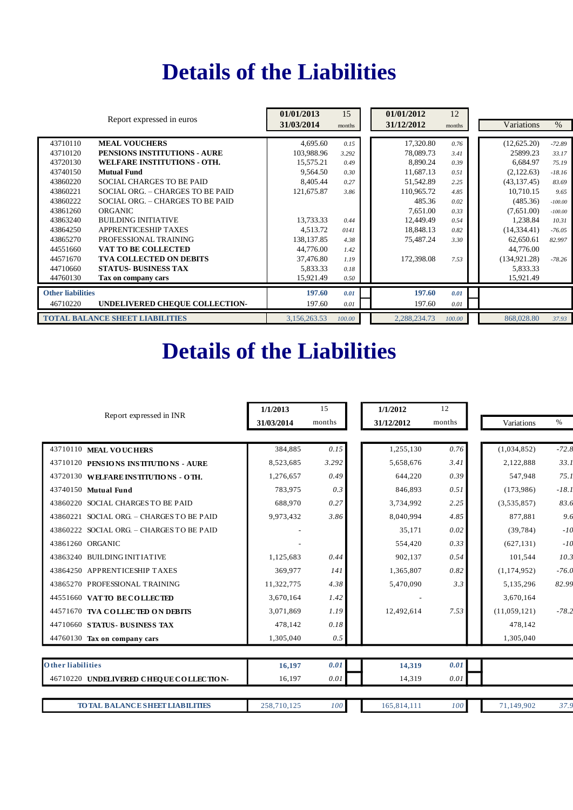## **Details of the Liabilities**

|                          |                                        | 01/01/2013   | 15     | 01/01/2012   | 12     |               |           |
|--------------------------|----------------------------------------|--------------|--------|--------------|--------|---------------|-----------|
|                          | Report expressed in euros              | 31/03/2014   | months | 31/12/2012   | months | Variations    | $\%$      |
| 43710110                 | <b>MEAL VOUCHERS</b>                   | 4.695.60     | 0.15   | 17,320.80    | 0.76   | (12,625.20)   | $-72.89$  |
| 43710120                 | PENSIONS INSTITUTIONS - AURE           | 103.988.96   | 3.292  | 78,089.73    | 3.41   | 25899.23      | 33.17     |
| 43720130                 | <b>WELFARE INSTITUTIONS - OTH.</b>     | 15,575.21    | 0.49   | 8,890.24     | 0.39   | 6,684.97      | 75.19     |
| 43740150                 | <b>Mutual Fund</b>                     | 9,564.50     | 0.30   | 11,687.13    | 0.51   | (2,122.63)    | $-18.16$  |
| 43860220                 | <b>SOCIAL CHARGES TO BE PAID</b>       | 8,405.44     | 0.27   | 51,542.89    | 2.25   | (43, 137.45)  | 83.69     |
| 43860221                 | SOCIAL ORG. - CHARGES TO BE PAID       | 121,675.87   | 3.86   | 110,965.72   | 4.85   | 10,710.15     | 9.65      |
| 43860222                 | SOCIAL ORG. - CHARGES TO BE PAID       |              |        | 485.36       | 0.02   | (485.36)      | $-100.00$ |
| 43861260                 | ORGANIC                                |              |        | 7,651.00     | 0.33   | (7,651.00)    | $-100.00$ |
| 43863240                 | <b>BUILDING INITIATIVE</b>             | 13,733.33    | 0.44   | 12,449.49    | 0.54   | 1,238.84      | 10.31     |
| 43864250                 | <b>APPRENTICESHIP TAXES</b>            | 4,513.72     | 0141   | 18,848.13    | 0.82   | (14, 334, 41) | $-76.05$  |
| 43865270                 | PROFESSIONAL TRAINING                  | 138, 137, 85 | 4.38   | 75,487.24    | 3.30   | 62,650.61     | 82.997    |
| 44551660                 | VAT TO BE COLLECTED                    | 44,776.00    | 1.42   |              |        | 44,776.00     |           |
| 44571670                 | <b>TVA COLLECTED ON DEBITS</b>         | 37,476.80    | 1.19   | 172,398.08   | 7.53   | (134, 921.28) | $-78.26$  |
| 44710660                 | <b>STATUS- BUSINESS TAX</b>            | 5,833.33     | 0.18   |              |        | 5,833.33      |           |
| 44760130                 | Tax on company cars                    | 15,921.49    | 0.50   |              |        | 15,921.49     |           |
| <b>Other liabilities</b> |                                        | 197.60       | 0.01   | 197.60       | 0.01   |               |           |
| 46710220                 | UNDELIVERED CHEQUE COLLECTION-         | 197.60       | 0.01   | 197.60       | 0.01   |               |           |
|                          | <b>TOTAL BALANCE SHEET LIABILITIES</b> | 3,156,263.53 | 100.00 | 2,288,234.73 | 100.00 | 868,028.80    | 37.93     |

# **Details of the Liabilities**

| Report expressed in INR                   | 1/1/2013    | 15     | 1/1/2012    | 12     |               |         |
|-------------------------------------------|-------------|--------|-------------|--------|---------------|---------|
|                                           | 31/03/2014  | months | 31/12/2012  | months | Variations    | $\%$    |
|                                           |             |        |             |        |               |         |
| 43710110 MEAL VOUCHERS                    | 384,885     | 0.15   | 1,255,130   | 0.76   | (1,034,852)   | $-72.8$ |
| 43710120 PENSIONS INSTITUTIONS - AURE     | 8,523,685   | 3.292  | 5,658,676   | 3.41   | 2,122,888     | 33.1    |
| 43720130 WELFARE INSTITUTIONS - OTH.      | 1,276,657   | 0.49   | 644,220     | 0.39   | 547,948       | 75.1    |
| 43740150 Mutual Fund                      | 783,975     | 0.3    | 846,893     | 0.51   | (173,986)     | $-18.1$ |
| 43860220 SOCIAL CHARGES TO BE PAID        | 688,970     | 0.27   | 3,734,992   | 2.25   | (3,535,857)   | 83.6    |
| 43860221 SOCIAL ORG. - CHARGES TO BE PAID | 9,973,432   | 3.86   | 8,040,994   | 4.85   | 877,881       | 9.6     |
| 43860222 SOCIAL ORG. - CHARGES TO BE PAID |             |        | 35.171      | 0.02   | (39, 784)     | $-10$   |
| 43861260 ORGANIC                          |             |        | 554,420     | 0.33   | (627, 131)    | $-10$   |
| 43863240 BUILDING INITIATIVE              | 1,125,683   | 0.44   | 902,137     | 0.54   | 101,544       | 10.3    |
| 43864250 APPRENTICESHIP TAXES             | 369,977     | 141    | 1,365,807   | 0.82   | (1, 174, 952) | $-76.0$ |
| 43865270 PROFESSIONAL TRAINING            | 11,322,775  | 4.38   | 5,470,090   | 3.3    | 5,135,296     | 82.99   |
| 44551660 VATTO BECOLLECTED                | 3,670,164   | 1.42   |             |        | 3,670,164     |         |
| 44571670 TVA COLLECTED ON DEBITS          | 3,071,869   | 1.19   | 12,492,614  | 7.53   | (11,059,121)  | $-78.2$ |
| 44710660 STATUS-BUSINESS TAX              | 478,142     | 0.18   |             |        | 478,142       |         |
| 44760130 Tax on company cars              | 1,305,040   | 0.5    |             |        | 1,305,040     |         |
|                                           |             |        |             |        |               |         |
| <b>Other liabilities</b>                  | 16,197      | 0.01   | 14,319      | 0.01   |               |         |
| 46710220 UNDELIVERED CHEOUE COLLECTION-   | 16,197      | 0.01   | 14,319      | 0.01   |               |         |
|                                           |             |        |             |        |               |         |
| <b>TO TAL BALANCE SHEET LIABILITIES</b>   | 258,710,125 | 100    | 165,814,111 | 100    | 71,149,902    | 37.9    |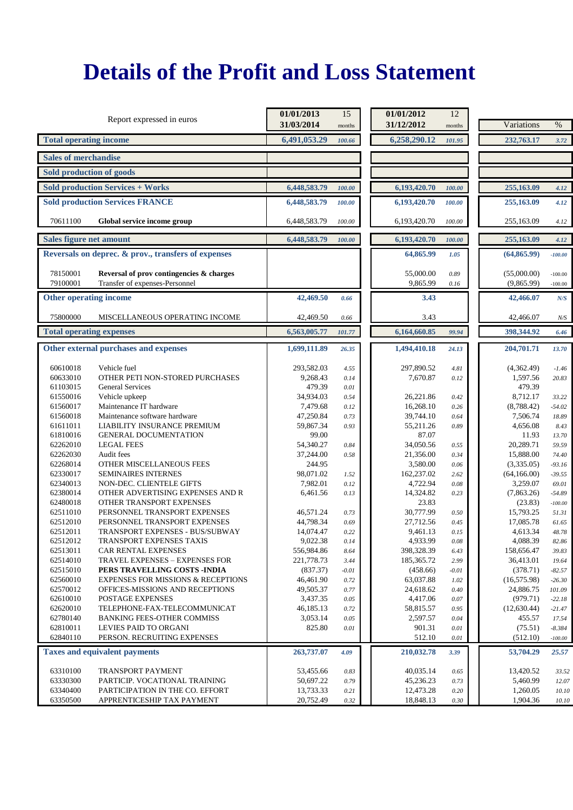|                                | Report expressed in euros                           | 01/01/2013<br>31/03/2014 | 15<br>months | 01/01/2012<br>31/12/2012 | 12<br>months | Variations   | $\%$      |
|--------------------------------|-----------------------------------------------------|--------------------------|--------------|--------------------------|--------------|--------------|-----------|
| <b>Total operating income</b>  |                                                     | 6,491,053.29             | 100.66       | 6,258,290.12             | 101.95       | 232,763.17   | 3.72      |
| <b>Sales of merchandise</b>    |                                                     |                          |              |                          |              |              |           |
|                                | Sold production of goods                            |                          |              |                          |              |              |           |
|                                | <b>Sold production Services + Works</b>             | 6,448,583.79             | 100.00       | 6,193,420.70             | 100.00       | 255,163.09   | 4.12      |
|                                | <b>Sold production Services FRANCE</b>              | 6,448,583.79             | 100.00       | 6,193,420.70             | 100.00       | 255,163.09   | 4.12      |
|                                |                                                     |                          |              |                          |              |              |           |
| 70611100                       | Global service income group                         | 6,448,583.79             | 100.00       | 6,193,420.70             | 100.00       | 255,163.09   | 4.12      |
| <b>Sales figure net amount</b> |                                                     | 6,448,583.79             | 100.00       | 6,193,420.70             | 100.00       | 255,163.09   | 4.12      |
|                                | Reversals on deprec. & prov., transfers of expenses |                          |              | 64,865.99                | 1.05         | (64, 865.99) | $-100.00$ |
| 78150001                       | Reversal of prov contingencies & charges            |                          |              | 55,000.00                | 0.89         | (55,000.00)  | $-100.00$ |
| 79100001                       | Transfer of expenses-Personnel                      |                          |              | 9,865.99                 | 0.16         | (9,865.99)   | $-100.00$ |
| <b>Other operating income</b>  |                                                     | 42,469.50                | 0.66         | 3.43                     |              | 42,466.07    | N/S       |
| 75800000                       | MISCELLANEOUS OPERATING INCOME                      | 42,469.50                | 0.66         | 3.43                     |              | 42,466.07    | N/S       |
|                                | <b>Total operating expenses</b>                     | 6,563,005.77             | 101.77       | 6,164,660.85             | 99.94        | 398,344.92   | 6.46      |
|                                | Other external purchases and expenses               | 1,699,111.89             | 26.35        | 1,494,410.18             | 24.13        | 204,701.71   | 13.70     |
|                                |                                                     |                          |              |                          |              |              |           |
| 60610018                       | Vehicle fuel                                        | 293.582.03               | 4.55         | 297,890.52               | 4.81         | (4,362.49)   | $-1.46$   |
| 60633010                       | OTHER PETI NON-STORED PURCHASES                     | 9,268.43                 | 0.14         | 7,670.87                 | 0.12         | 1,597.56     | 20.83     |
| 61103015                       | <b>General Services</b>                             | 479.39                   | 0.01         |                          |              | 479.39       |           |
| 61550016                       | Vehicle upkeep                                      | 34,934.03                | 0.54         | 26,221.86                | 0.42         | 8,712.17     | 33.22     |
| 61560017                       | Maintenance IT hardware                             | 7,479.68                 | 0.12         | 16,268.10                | 0.26         | (8,788.42)   | $-54.02$  |
| 61560018                       | Maintenance software hardware                       | 47,250.84                | 0.73         | 39,744.10                | 0.64         | 7,506.74     | 18.89     |
| 61611011                       | LIABILITY INSURANCE PREMIUM                         | 59,867.34                | 0.93         | 55,211.26                | 0.89         | 4,656.08     | 8.43      |
| 61810016                       | <b>GENERAL DOCUMENTATION</b>                        | 99.00                    |              | 87.07                    |              | 11.93        | 13.70     |
| 62262010                       | <b>LEGAL FEES</b>                                   | 54,340.27                | 0.84         | 34,050.56                | 0.55         | 20,289.71    | 59.59     |
| 62262030                       | Audit fees                                          | 37,244.00                | 0.58         | 21,356.00                | 0.34         | 15,888.00    | 74.40     |
| 62268014                       | OTHER MISCELLANEOUS FEES                            | 244.95                   |              | 3,580.00                 | 0.06         | (3,335.05)   | $-93.16$  |
| 62330017                       | SEMINAIRES INTERNES                                 | 98,071.02                | 1.52         | 162,237.02               | 2.62         | (64, 166.00) | $-39.55$  |
| 62340013                       | NON-DEC. CLIENTELE GIFTS                            | 7,982.01                 | 0.12         | 4,722.94                 | 0.08         | 3,259.07     | 69.01     |
| 62380014                       | OTHER ADVERTISING EXPENSES AND R                    | 6,461.56                 | 0.13         | 14,324.82                | 0.23         | (7,863.26)   | $-54.89$  |
| 62480018                       | OTHER TRANSPORT EXPENSES                            |                          |              | 23.83                    |              | (23.83)      | $-100.00$ |
| 62511010                       | PERSONNEL TRANSPORT EXPENSES                        | 46,571.24                | 0.73         | 30,777.99                | 0.50         | 15,793.25    | 51.31     |
| 62512010                       | PERSONNEL TRANSPORT EXPENSES                        | 44,798.34                | 0.69         | 27,712.56                | 0.45         | 17,085.78    | 61.65     |
| 62512011                       | TRANSPORT EXPENSES - BUS/SUBWAY                     | 14,074.47                | 0.22         | 9,461.13                 | 0.15         | 4,613.34     | 48.78     |
| 62512012                       | TRANSPORT EXPENSES TAXIS                            | 9,022.38                 | 0.14         | 4,933.99                 | 0.08         | 4,088.39     | 82.86     |
| 62513011                       | CAR RENTAL EXPENSES                                 | 556,984.86               | 8.64         | 398,328.39               | 6.43         | 158,656.47   | 39.83     |
| 62514010                       | <b>TRAVEL EXPENSES - EXPENSES FOR</b>               | 221,778.73               | 3.44         | 185,365.72               | 2.99         | 36,413.01    | 19.64     |
| 62515010                       | PERS TRAVELLING COSTS - INDIA                       | (837.37)                 | $-0.01$      | (458.66)                 | $-0.01$      | (378.71)     | $-82.57$  |
| 62560010                       | <b>EXPENSES FOR MISSIONS &amp; RECEPTIONS</b>       | 46,461.90                | 0.72         | 63,037.88                | 1.02         | (16, 575.98) | $-26.30$  |
| 62570012                       | OFFICES-MISSIONS AND RECEPTIONS                     | 49,505.37                | 0.77         | 24,618.62                | 0.40         | 24,886.75    | 101.09    |
| 62610010                       | POSTAGE EXPENSES                                    | 3,437.35                 | 0.05         | 4,417.06                 | 0.07         | (979.71)     | $-22.18$  |
| 62620010                       | TELEPHONE-FAX-TELECOMMUNICAT                        | 46,185.13                | 0.72         | 58,815.57                | 0.95         | (12,630.44)  | $-21.47$  |
| 62780140                       | <b>BANKING FEES-OTHER COMMISS</b>                   | 3,053.14                 | 0.05         | 2,597.57                 | 0.04         | 455.57       | 17.54     |
| 62810011                       | LEVIES PAID TO ORGANI                               | 825.80                   | 0.01         | 901.31                   | 0.01         | (75.51)      | $-8.384$  |
| 62840110                       | PERSON. RECRUITING EXPENSES                         |                          |              | 512.10                   | 0.01         | (512.10)     | $-100.00$ |
|                                | <b>Taxes and equivalent payments</b>                | 263,737.07               | 4.09         | 210,032.78               | 3.39         | 53,704.29    | 25.57     |
| 63310100                       | TRANSPORT PAYMENT                                   | 53,455.66                | 0.83         | 40,035.14                | 0.65         | 13,420.52    | 33.52     |
| 63330300                       | PARTICIP. VOCATIONAL TRAINING                       | 50,697.22                | 0.79         | 45,236.23                | 0.73         | 5,460.99     | 12.07     |
| 63340400                       | PARTICIPATION IN THE CO. EFFORT                     | 13,733.33                | 0.21         | 12,473.28                | 0.20         | 1,260.05     | 10.10     |
| 63350500                       | APPRENTICESHIP TAX PAYMENT                          | 20,752.49                | 0.32         | 18,848.13                | $0.30\,$     | 1,904.36     | 10.10     |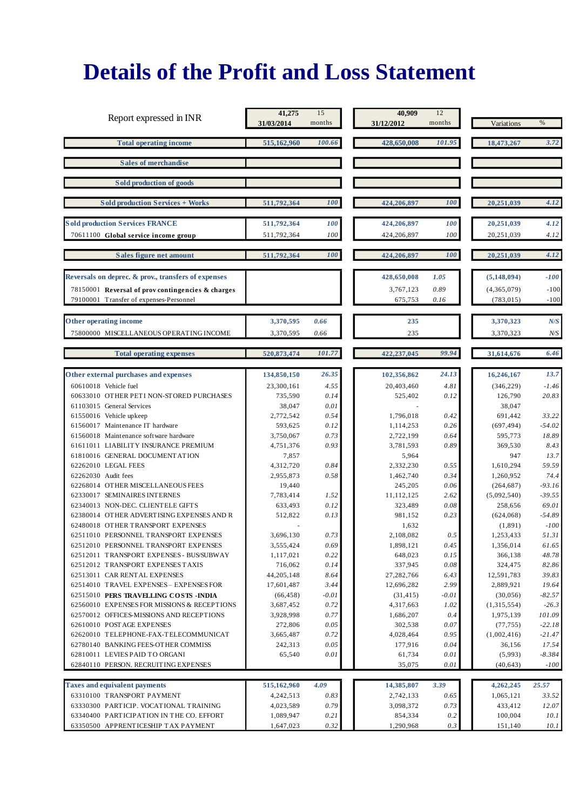|                                                                                               | 41,275                     | 15           | 40,909                     | 12           |                           |                    |
|-----------------------------------------------------------------------------------------------|----------------------------|--------------|----------------------------|--------------|---------------------------|--------------------|
| Report expressed in INR                                                                       | 31/03/2014                 | months       | 31/12/2012                 | months       | Variations                | $\%$               |
| <b>Total operating income</b>                                                                 | 515,162,960                | 100.66       | 428,650,008                | 101.95       | 18,473,267                | 3.72               |
| <b>Sales of merchandise</b>                                                                   |                            |              |                            |              |                           |                    |
| Sold production of goods                                                                      |                            |              |                            |              |                           |                    |
| <b>Sold production Services + Works</b>                                                       | 511,792,364                | 100          | 424,206,897                | 100          | 20,251,039                | 4.12               |
| <b>Sold production Services FRANCE</b>                                                        |                            |              |                            |              |                           |                    |
| 70611100 Global service income group                                                          | 511,792,364<br>511,792,364 | 100<br>100   | 424,206,897<br>424,206,897 | 100<br>100   | 20,251,039<br>20,251,039  | 4.12<br>4.12       |
| Sales figure net amount                                                                       | 511,792,364                | <b>100</b>   | 424,206,897                | <b>100</b>   | 20,251,039                | 4.12               |
|                                                                                               |                            |              |                            |              |                           |                    |
| Reversals on deprec. & prov., transfers of expenses                                           |                            |              | 428,650,008                | 1.05         | (5, 148, 094)             | -100               |
| $78150001$ Reversal of proverting encies & charges<br>79100001 Transfer of expenses-Personnel |                            |              | 3,767,123<br>675,753       | 0.89<br>0.16 | (4,365,079)<br>(783, 015) | $-100$<br>$-100$   |
| Other operating income                                                                        | 3,370,595                  | 0.66         | 235                        |              | 3,370,323                 | N/S                |
| 75800000 MISCELLANEOUS OPERATING INCOME                                                       | 3,370,595                  | 0.66         | 235                        |              | 3,370,323                 | $N\!/\!S$          |
| <b>Total operating expenses</b>                                                               | 520,873,474                | 101.77       | 422,237,045                | 99.94        | 31,614,676                | 6.46               |
| Other external purchases and expenses                                                         | 134,850,150                | 26.35        | 102,356,862                | 24.13        | 16,246,167                | 13.7               |
| 60610018 Vehicle fuel                                                                         | 23,300,161                 | 4.55         | 20,403,460                 | 4.81         | (346, 229)                | $-1.46$            |
| 60633010 OTHER PETI NON-STORED PURCHASES                                                      | 735,590                    | 0.14         | 525,402                    | 0.12         | 126,790                   | 20.83              |
| 61103015 General Services                                                                     | 38,047                     | 0.01         |                            |              | 38,047                    |                    |
| 61550016 Vehicle upkeep                                                                       | 2,772,542                  | 0.54         | 1,796,018                  | 0.42         | 691,442                   | 33.22              |
| 61560017 Maintenance IT hardware                                                              | 593,625                    | 0.12         | 1,114,253                  | 0.26         | (697, 494)                | $-54.02$           |
| 61560018 Maintenance software hardware<br>61611011 LIABILITY INSURANCE PREMIUM                | 3,750,067<br>4,751,376     | 0.73<br>0.93 | 2,722,199<br>3,781,593     | 0.64<br>0.89 | 595,773<br>369,530        | 18.89<br>8.43      |
| 61810016 GENERAL DOCUMENTATION                                                                | 7,857                      |              | 5,964                      |              | 947                       | 13.7               |
| 62262010 LEGAL FEES                                                                           | 4,312,720                  | 0.84         | 2,332,230                  | 0.55         | 1,610,294                 | 59.59              |
| 62262030 Audit fees                                                                           | 2,955,873                  | 0.58         | 1,462,740                  | 0.34         | 1,260,952                 | 74.4               |
| 62268014 OTHER MISCELLANEOUS FEES                                                             | 19,440                     |              | 245,205                    | 0.06         | (264, 687)                | $-93.16$           |
| 62330017 SEMINAIRES INTERNES                                                                  | 7,783,414                  | 1.52         | 11,112,125                 | 2.62         | (5,092,540)               | $-39.55$           |
| 62340013 NON-DEC. CLIENTELE GIFTS                                                             | 633,493                    | 0.12         | 323,489                    | 0.08         | 258,656                   | 69.01              |
| 62380014 OTHER ADVERTISING EXPENSES AND R<br>62480018 OTHER TRANSPORT EXPENSES                | 512,822                    | 0.13         | 981,152<br>1,632           | 0.23         | (624,068)                 | $-54.89$<br>$-100$ |
| 62511010 PERSONNEL TRANSPORT EXPENSES                                                         | 3,696,130                  | 0.73         | 2,108,082                  | 0.5          | (1, 891)<br>1,253,433     | 51.31              |
| 62512010 PERSONNEL TRANSPORT EXPENSES                                                         | 3,555,424                  | 0.69         | 1,898,121                  | 0.45         | 1,356,014                 | 61.65              |
| 62512011 TRANSPORT EXPENSES - BUS/SUBWAY                                                      | 1,117,021                  | 0.22         | 648,023                    | 0.15         | 366,138                   | 48.78              |
| 62512012 TRANSPORT EXPENSES TAXIS                                                             | 716,062                    | 0.14         | 337,945                    | 0.08         | 324,475                   | 82.86              |
| 62513011 CAR RENTAL EXPENSES                                                                  | 44,205,148                 | 8.64         | 27,282,766                 | 6.43         | 12,591,783                | 39.83              |
| 62514010 TRAVEL EXPENSES - EXPENSES FOR                                                       | 17,601,487                 | 3.44         | 12,696,282                 | 2.99         | 2,889,921                 | 19.64              |
| 62515010 PERS TRAVELLING COSTS - INDIA                                                        | (66, 458)                  | $-0.01$      | (31, 415)                  | $-0.01$      | (30,056)                  | $-82.57$           |
| 62560010 EXPENSES FOR MISSIONS & RECEPTIONS                                                   | 3,687,452<br>3,928,998     | 0.72<br>0.77 | 4,317,663<br>1,686,207     | 1.02<br>0.4  | (1,315,554)               | $-26.3$<br>101.09  |
| 62570012 OFFICES-MISSIONS AND RECEPTIONS<br>62610010 POSTAGE EXPENSES                         | 272,806                    | 0.05         | 302,538                    | 0.07         | 1,975,139<br>(77, 755)    | $-22.18$           |
| 62620010 TELEPHONE-FAX-TELECOMMUNICAT                                                         | 3,665,487                  | 0.72         | 4,028,464                  | 0.95         | (1,002,416)               | $-21.47$           |
| 62780140 BANKING FEES-OTHER COMMISS                                                           | 242,313                    | 0.05         | 177,916                    | 0.04         | 36,156                    | 17.54              |
| 62810011 LEVIES PAID TO ORGANI                                                                | 65,540                     | 0.01         | 61,734                     | 0.01         | (5,993)                   | $-8.384$           |
| 62840110 PERSON. RECRUITING EXPENSES                                                          |                            |              | 35,075                     | 0.01         | (40, 643)                 | $-100$             |
| <b>Taxes and equivalent payments</b>                                                          | 515,162,960                | 4.09         | 14,385,807                 | 3.39         | 4,262,245                 | 25.57              |
| 63310100 TRANSPORT PAYMENT                                                                    | 4,242,513                  | 0.83         | 2,742,133                  | 0.65         | 1,065,121                 | 33.52              |
| 63330300 PARTICIP. VOCATIONAL TRAINING                                                        | 4,023,589                  | 0.79         | 3,098,372                  | 0.73         | 433,412                   | 12.07              |
| 63340400 PARTICIPATION IN THE CO. EFFORT                                                      | 1,089,947                  | 0.21         | 854,334                    | 0.2          | 100,004                   | 10.1               |
| 63350500 APPRENTICESHIP TAX PAYMENT                                                           | 1,647,023                  | 0.32         | 1,290,968                  | 0.3          | 151,140                   | 10.1               |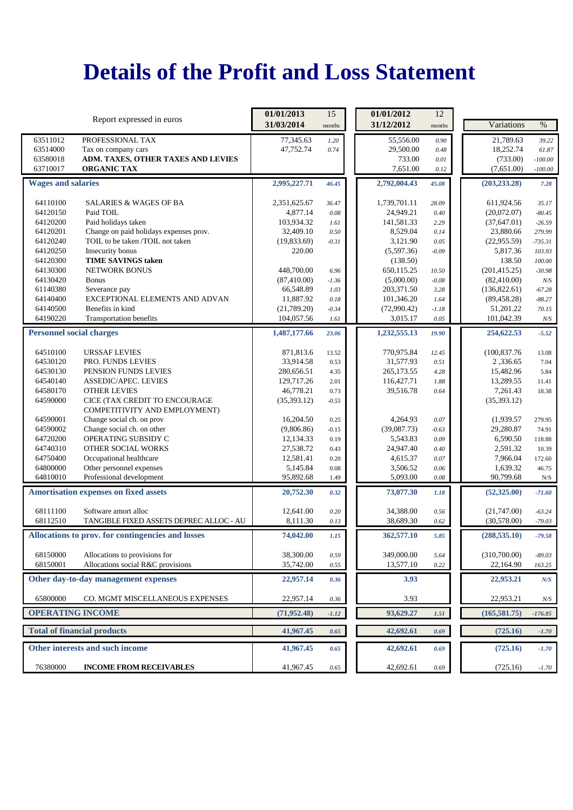|                                 | Report expressed in euros                                      | 01/01/2013                | 15              | 01/01/2012               | 12           |                              |                      |
|---------------------------------|----------------------------------------------------------------|---------------------------|-----------------|--------------------------|--------------|------------------------------|----------------------|
|                                 |                                                                | 31/03/2014                | months          | 31/12/2012               | months       | Variations                   | $\%$                 |
| 63511012                        | PROFESSIONAL TAX                                               | 77,345.63                 | 1.20            | 55,556.00                | 0.90         | 21,789.63                    | 39.22                |
| 63514000                        | Tax on company cars                                            | 47,752.74                 | 0.74            | 29,500.00                | 0.48         | 18,252.74                    | 61.87                |
| 63580018                        | ADM. TAXES, OTHER TAXES AND LEVIES                             |                           |                 | 733.00                   | 0.01         | (733.00)                     | $-100.00$            |
| 63710017                        | <b>ORGANIC TAX</b>                                             |                           |                 | 7,651.00                 | 0.12         | (7,651.00)                   | $-100.00$            |
| <b>Wages and salaries</b>       |                                                                | 2,995,227.71              | 46.45           | 2,792,004.43             | 45.08        | (203, 233.28)                | 7.28                 |
| 64110100                        | <b>SALARIES &amp; WAGES OF BA</b>                              | 2,351,625.67              | 36.47           | 1,739,701.11             | 28.09        | 611,924.56                   | 35.17                |
| 64120150                        | Paid TOIL                                                      | 4,877.14                  | 0.08            | 24,949.21                | 0.40         | (20,072.07)                  | $-80.45$             |
| 64120200                        | Paid holidays taken                                            | 103,934.32                | 1.61            | 141,581.33               | 2.29         | (37, 647.01)                 | $-26.59$             |
| 64120201                        | Change on paid holidays expenses prov.                         | 32,409.10                 | 0.50            | 8,529.04                 | 0.14         | 23,880.66                    | 279.99               |
| 64120240                        | TOIL to be taken /TOIL not taken                               | (19,833.69)               | $-0.31$         | 3,121.90                 | 0.05         | (22,955.59)                  | $-735.31$            |
| 64120250                        | Insecurity bonus                                               | 220.00                    |                 | (5,597.36)               | $-0.09$      | 5,817.36                     | 103.93               |
| 64120300                        | <b>TIME SAVINGS taken</b>                                      |                           |                 | (138.50)                 |              | 138.50                       | 100.00               |
| 64130300                        | <b>NETWORK BONUS</b>                                           | 448,700.00                | 6.96            | 650,115.25               | 10.50        | (201, 415.25)                | $-30.98$             |
| 64130420<br>61140380            | <b>Bonus</b>                                                   | (87, 410.00)<br>66,548.89 | $-1.36$<br>1.03 | (5,000.00)               | $-0.08$      | (82,410.00)                  | N/S                  |
| 64140400                        | Severance pay<br>EXCEPTIONAL ELEMENTS AND ADVAN                | 11,887.92                 | 0.18            | 203,371.50<br>101,346.20 | 3.28<br>1.64 | (136,822.61)<br>(89, 458.28) | $-67.28$<br>$-88.27$ |
| 64140500                        | Benefits in kind                                               | (21,789.20)               | $-0.34$         | (72,990.42)              | $-1.18$      | 51,201.22                    | 70.15                |
| 64190220                        | Transportation benefits                                        | 104,057.56                | 1.61            | 3,015.17                 | 0.05         | 101,042.39                   | N/S                  |
|                                 |                                                                |                           |                 |                          |              |                              |                      |
| <b>Personnel social charges</b> |                                                                | 1,487,177.66              | 23.06           | 1,232,555.13             | 19.90        | 254,622.53                   | $-5.52$              |
| 64510100                        | <b>URSSAF LEVIES</b>                                           | 871,813.6                 | 13.52           | 770,975.84               | 12.45        | (100, 837.76)                | 13.08                |
| 64530120                        | PRO. FUNDS LEVIES                                              | 33,914.58                 | 0.53            | 31,577.93                | 0.51         | 2,336.65                     | 7.04                 |
| 64530130                        | PENSION FUNDS LEVIES                                           | 280,656.51                | 4.35            | 265, 173.55              | 4.28         | 15,482.96                    | 5.84                 |
| 64540140                        | <b>ASSEDIC/APEC. LEVIES</b>                                    | 129,717.26                | 2.01            | 116,427.71               | 1.88         | 13,289.55                    | 11.41                |
| 64580170                        | <b>OTHER LEVIES</b>                                            | 46,778.21                 | 0.73            | 39,516.78                | 0.64         | 7,261.43                     | 18.38                |
| 64590000                        | CICE (TAX CREDIT TO ENCOURAGE<br>COMPETITIVITY AND EMPLOYMENT) | (35,393.12)               | $-0.55$         |                          |              | (35, 393.12)                 |                      |
| 64590001                        | Change social ch. on prov                                      | 16,204.50                 | 0.25            | 4,264.93                 | 0.07         | (1,939.57)                   | 279.95               |
| 64590002                        | Change social ch. on other                                     | (9,806.86)                | $-0.15$         | (39,087.73)              | $-0.63$      | 29,280.87                    | 74.91                |
| 64720200                        | OPERATING SUBSIDY C                                            | 12,134.33                 | 0.19            | 5,543.83                 | 0.09         | 6,590.50                     | 118.88               |
| 64740310                        | OTHER SOCIAL WORKS                                             | 27,538.72<br>12,581.41    | 0.43            | 24,947.40                | 0.40         | 2,591.32                     | 10.39                |
| 64750400<br>64800000            | Occupational healthcare<br>Other personnel expenses            | 5,145.84                  | 0.20<br>0.08    | 4,615.37<br>3,506.52     | 0.07<br>0.06 | 7,966.04<br>1,639.32         | 172.60<br>46.75      |
| 64810010                        | Professional development                                       | 95,892.68                 | 1.49            | 5,093.00                 | 0.08         | 90,799.68                    | ${\bf N} / {\bf S}$  |
|                                 |                                                                |                           |                 |                          |              |                              |                      |
|                                 | <b>Amortisation expenses on fixed assets</b>                   | 20,752.30                 | 0.32            | 73,077.30                | 1.18         | (52, 325.00)                 | $-71.60$             |
| 68111100                        | Software amort alloc                                           | 12,641.00                 | 0.20            | 34,388.00                | 0.56         | (21,747.00)                  | $-63.24$             |
| 68112510                        | TANGIBLE FIXED ASSETS DEPREC ALLOC - AU                        | 8,111.30                  | 0.13            | 38,689.30                | 0.62         | (30,578.00)                  | $-79.03$             |
|                                 | Allocations to prov. for contingencies and losses              | 74,042.00                 | 1.15            | 362,577.10               | 5.85         | (288, 535.10)                | $-79.58$             |
| 68150000                        | Allocations to provisions for                                  | 38,300.00                 | 0.59            | 349,000.00               | 5.64         | (310,700.00)                 | $-89.03$             |
| 68150001                        | Allocations social R&C provisions                              | 35,742.00                 | 0.55            | 13,577.10                | 0.22         | 22,164.90                    | 163.25               |
|                                 | Other day-to-day management expenses                           | 22,957.14                 | 0.36            | 3.93                     |              | 22,953.21                    | N/S                  |
| 65800000                        | CO. MGMT MISCELLANEOUS EXPENSES                                | 22,957.14                 | 0.36            | 3.93                     |              | 22,953.21                    | $N\!/\!S$            |
| <b>OPERATING INCOME</b>         |                                                                | (71,952.48)               | $-1.12$         | 93,629.27                | 1.51         | (165, 581.75)                | $-176.85$            |
|                                 | <b>Total of financial products</b>                             | 41,967.45                 | 0.65            | 42,692.61                | 0.69         | (725.16)                     | $-1.70$              |
|                                 | Other interests and such income                                | 41,967.45                 | 0.65            | 42,692.61                | 0.69         | (725.16)                     | $-1.70$              |
| 76380000                        | <b>INCOME FROM RECEIVABLES</b>                                 | 41,967.45                 | 0.65            | 42,692.61                | 0.69         | (725.16)                     | $-1.70$              |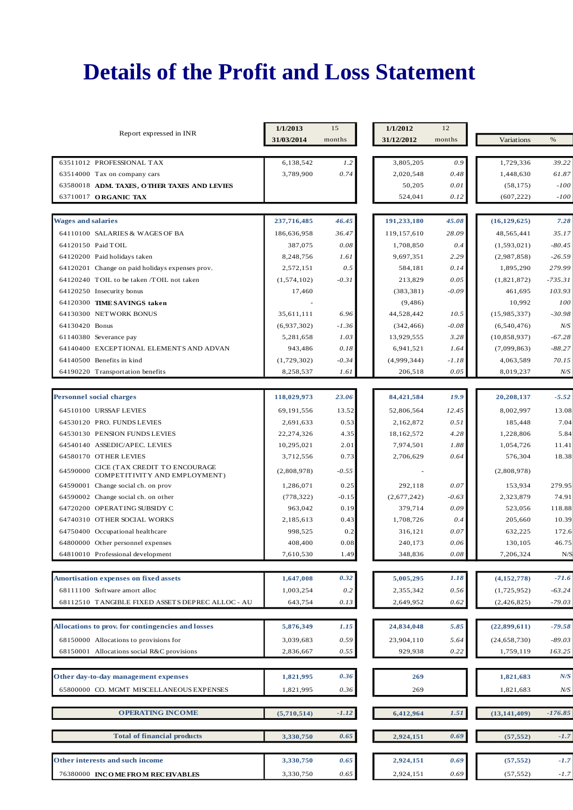|                                                                            | 1/1/2013<br>15 |         | 1/1/2012            | 12           |                        |                 |  |
|----------------------------------------------------------------------------|----------------|---------|---------------------|--------------|------------------------|-----------------|--|
| Report expressed in INR                                                    | 31/03/2014     | months  | 31/12/2012          | months       | Variations             | $\%$            |  |
|                                                                            |                |         |                     |              |                        |                 |  |
| 63511012 PROFESSIONAL TAX                                                  | 6,138,542      | 1.2     | 3,805,205           | 0.9          | 1,729,336              | 39.22           |  |
| 63514000 Tax on company cars                                               | 3,789,900      | 0.74    | 2,020,548<br>50,205 | 0.48<br>0.01 | 1,448,630<br>(58, 175) | 61.87<br>$-100$ |  |
| 63580018 ADM. TAXES, OTHER TAXES AND LEVIES<br>63710017 ORGANIC TAX        |                |         | 524,041             | 0.12         | (607, 222)             | $-100$          |  |
|                                                                            |                |         |                     |              |                        |                 |  |
| <b>Wages and salaries</b>                                                  | 237,716,485    | 46.45   | 191,233,180         | 45.08        | (16, 129, 625)         | 7.28            |  |
| 64110100 SALARIES & WAGES OF BA                                            | 186,636,958    | 36.47   | 119.157.610         | 28.09        | 48,565,441             | 35.17           |  |
| 64120150 Paid TOIL                                                         | 387,075        | 0.08    | 1,708,850           | 0.4          | (1,593,021)            | $-80.45$        |  |
| 64120200 Paid holidays taken                                               | 8,248,756      | 1.61    | 9,697,351           | 2.29         | (2,987,858)            | $-26.59$        |  |
| 64120201 Change on paid holidays expenses prov.                            | 2,572,151      | 0.5     | 584,181             | 0.14         | 1,895,290              | 279.99          |  |
| 64120240 TOIL to be taken /TOIL not taken                                  | (1,574,102)    | $-0.31$ | 213,829             | 0.05         | (1,821,872)            | $-735.31$       |  |
| 64120250 Insecurity bonus                                                  | 17,460         |         | (383, 381)          | $-0.09$      | 461,695                | 103.93          |  |
| 64120300 TIME SAVINGS taken                                                |                |         | (9, 486)            |              | 10,992                 | 100             |  |
| 64130300 NETWORK BONUS                                                     | 35,611,111     | 6.96    | 44,528,442          | 10.5         | (15,985,337)           | $-30.98$        |  |
| 64130420 Bonus                                                             | (6,937,302)    | $-1.36$ | (342, 466)          | $-0.08$      | (6,540,476)            | N/S             |  |
| 61140380 Severance pay                                                     | 5,281,658      | 1.03    | 13,929,555          | 3.28         | (10, 858, 937)         | $-67.28$        |  |
| 64140400 EXCEPTIONAL ELEMENTS AND ADVAN                                    | 943,486        | 0.18    | 6,941,521           | 1.64         | (7,099,863)            | $-88.27$        |  |
| 64140500 Benefits in kind                                                  | (1,729,302)    | $-0.34$ | (4,999,344)         | $-1.18$      | 4,063,589              | 70.15           |  |
| 64190220 Transportation benefits                                           | 8,258,537      | 1.61    | 206,518             | 0.05         | 8,019,237              | N/S             |  |
|                                                                            |                |         |                     |              |                        |                 |  |
| <b>Personnel social charges</b>                                            | 118,029,973    | 23.06   | 84,421,584          | 19.9         | 20,208,137             | $-5.52$         |  |
| 64510100 URSSAF LEVIES                                                     | 69,191,556     | 13.52   | 52,806,564          | 12.45        | 8,002,997              | 13.08           |  |
| 64530120 PRO. FUNDS LEVIES                                                 | 2,691,633      | 0.53    | 2,162,872           | 0.51         | 185,448                | 7.04            |  |
| 64530130 PENSION FUNDS LEVIES                                              | 22,274,326     | 4.35    | 18,162,572          | 4.28         | 1,228,806              | 5.84            |  |
| 64540140 ASSEDIC/APEC. LEVIES                                              | 10,295,021     | 2.01    | 7,974,501           | 1.88         | 1,054,726              | 11.41           |  |
| 64580170 OTHER LEVIES                                                      | 3,712,556      | 0.73    | 2,706,629           | 0.64         | 576,304                | 18.38           |  |
| CICE (TAX CREDIT TO ENCOURAGE<br>64590000<br>COMPETITIVITY AND EMPLOYMENT) | (2,808,978)    | $-0.55$ |                     |              | (2,808,978)            |                 |  |
| 64590001 Change social ch. on prov                                         | 1,286,071      | 0.25    | 292,118             | 0.07         | 153,934                | 279.95          |  |
| 64590002 Change social ch. on other                                        | (778, 322)     | $-0.15$ | (2,677,242)         | $-0.63$      | 2,323,879              | 74.91           |  |
| 64720200 OPERATING SUBSIDY C                                               | 963,042        | 0.19    | 379,714             | 0.09         | 523,056                | 118.88          |  |
| 64740310 OTHER SOCIAL WORKS                                                | 2,185,613      | 0.43    | 1,708,726           | 0.4          | 205,660                | 10.39           |  |
| 64750400 Occupational healthcare                                           | 998,525        | 0.2     | 316,121             | 0.07         | 632,225                | 172.6           |  |
| 64800000 Other personnel expenses                                          | 408,400        | 0.08    | 240,173             | 0.06         | 130,105                | 46.75           |  |
| 64810010 Professional development                                          | 7,610,530      | 1.49    | 348,836             | $0.08\,$     | 7,206,324              | N/S             |  |
|                                                                            |                |         |                     |              |                        |                 |  |
| <b>Amortisation expenses on fixed assets</b>                               | 1,647,008      | 0.32    | 5,005,295           | 1.18         | (4,152,778)            | $-71.6$         |  |
| 68111100 Software amort alloc                                              | 1,003,254      | 0.2     | 2,355,342           | 0.56         | (1,725,952)            | $-63.24$        |  |
| 68112510 TANGIBLE FIXED ASSETS DEPREC ALLOC - AU                           | 643,754        | 0.13    | 2,649,952           | 0.62         | (2,426,825)            | $-79.03$        |  |
|                                                                            |                |         |                     |              |                        |                 |  |
| Allocations to prov. for contingencies and losses                          | 5,876,349      | 1.15    | 24,834,048          | 5.85         | (22,899,611)           | $-79.58$        |  |
| 68150000 Allocations to provisions for                                     | 3,039,683      | 0.59    | 23,904,110          | 5.64         | (24, 658, 730)         | $-89.03$        |  |
| 68150001 Allocations social R&C provisions                                 | 2,836,667      | 0.55    | 929,938             | 0.22         | 1,759,119              | 163.25          |  |
|                                                                            |                |         |                     |              |                        |                 |  |
| Other day-to-day management expenses                                       | 1,821,995      | 0.36    | 269                 |              | 1,821,683              | N/S             |  |
| 65800000 CO. MGMT MISCELLANEOUS EXPENSES                                   | 1,821,995      | 0.36    | 269                 |              | 1,821,683              | N/S             |  |
| <b>OPERATING INCOME</b>                                                    | (5,710,514)    | $-1.12$ | 6,412,964           | 1.51         | (13, 141, 409)         | $-176.85$       |  |
| <b>Total of financial products</b>                                         | 3,330,750      | 0.65    | 2,924,151           | 0.69         | (57, 552)              | $-1.7$          |  |
|                                                                            |                |         |                     |              |                        |                 |  |
| Other interests and such income                                            | 3,330,750      | 0.65    | 2,924,151           | 0.69         | (57, 552)              | $-1.7$          |  |
| 76380000 INCOME FROM RECEIVABLES                                           | 3,330,750      | 0.65    | 2,924,151           | 0.69         | (57, 552)              | $-1.7$          |  |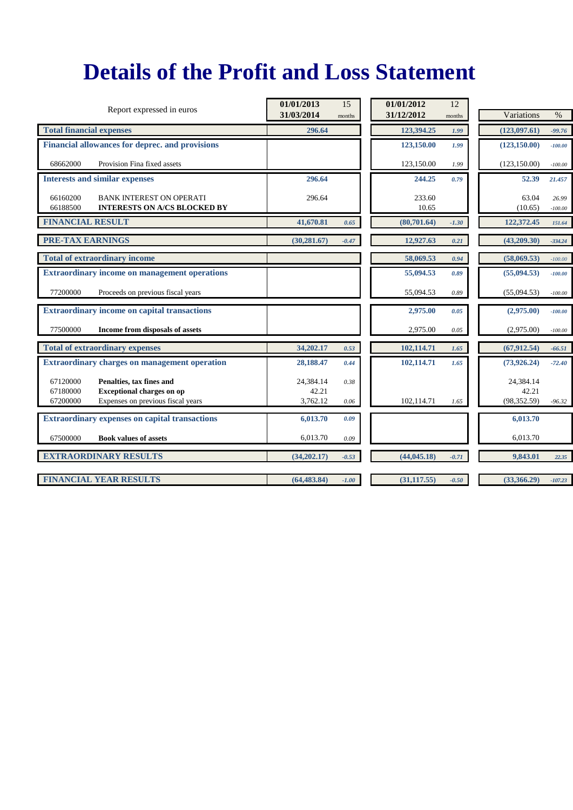| Report expressed in euros                                                                                                             | 01/01/2013                     | 15           | 01/01/2012      | 12      |                                    |                    |
|---------------------------------------------------------------------------------------------------------------------------------------|--------------------------------|--------------|-----------------|---------|------------------------------------|--------------------|
|                                                                                                                                       | 31/03/2014                     | months       | 31/12/2012      | months  | Variations                         | $\%$               |
| <b>Total financial expenses</b>                                                                                                       | 296.64                         |              | 123,394.25      | 1.99    | (123,097.61)                       | $-99.76$           |
| Financial allowances for deprec. and provisions                                                                                       |                                |              | 123,150.00      | 1.99    | (123, 150.00)                      | $-100.00$          |
| 68662000<br>Provision Fina fixed assets                                                                                               |                                |              | 123,150.00      | 1.99    | (123, 150.00)                      | $-100.00$          |
| <b>Interests and similar expenses</b>                                                                                                 | 296.64                         |              | 244.25          | 0.79    | 52.39                              | 21.457             |
| 66160200<br><b>BANK INTEREST ON OPERATI</b><br>66188500<br><b>INTERESTS ON A/CS BLOCKED BY</b>                                        | 296.64                         |              | 233.60<br>10.65 |         | 63.04<br>(10.65)                   | 26.99<br>$-100.00$ |
| <b>FINANCIAL RESULT</b>                                                                                                               | 41,670.81                      | 0.65         | (80,701.64)     | $-1.30$ | 122,372.45                         | 151.64             |
| <b>PRE-TAX EARNINGS</b>                                                                                                               | (30, 281.67)                   | $-0.47$      | 12,927.63       | 0.21    | (43,209.30)                        | $-334.24$          |
| <b>Total of extraordinary income</b>                                                                                                  |                                |              | 58,069.53       | 0.94    | (58,069.53)                        | $-100.00$          |
| <b>Extraordinary income on management operations</b>                                                                                  |                                |              | 55,094.53       | 0.89    | (55,094.53)                        | $-100.00$          |
| 77200000<br>Proceeds on previous fiscal years                                                                                         |                                |              | 55,094.53       | 0.89    | (55,094.53)                        | $-100.00$          |
| <b>Extraordinary income on capital transactions</b>                                                                                   |                                |              | 2,975.00        | 0.05    | (2,975.00)                         | $-100.00$          |
| 77500000<br>Income from disposals of assets                                                                                           |                                |              | 2,975.00        | 0.05    | (2,975.00)                         | $-100.00$          |
| <b>Total of extraordinary expenses</b>                                                                                                | 34,202.17                      | 0.53         | 102,114.71      | 1.65    | (67, 912.54)                       | $-66.51$           |
| <b>Extraordinary charges on management operation</b>                                                                                  | 28,188.47                      | 0.44         | 102,114.71      | 1.65    | (73,926,24)                        | $-72.40$           |
| 67120000<br>Penalties, tax fines and<br><b>Exceptional charges on op</b><br>67180000<br>67200000<br>Expenses on previous fiscal years | 24,384.14<br>42.21<br>3,762.12 | 0.38<br>0.06 | 102,114.71      | 1.65    | 24,384.14<br>42.21<br>(98, 352.59) | $-96.32$           |
| <b>Extraordinary expenses on capital transactions</b>                                                                                 | 6,013.70                       | 0.09         |                 |         | 6,013.70                           |                    |
| 67500000<br><b>Book values of assets</b>                                                                                              | 6,013.70                       | 0.09         |                 |         | 6.013.70                           |                    |
| <b>EXTRAORDINARY RESULTS</b>                                                                                                          | (34,202.17)                    | $-0.53$      | (44, 045.18)    | $-0.71$ | 9,843.01                           | 22.35              |
| <b>FINANCIAL YEAR RESULTS</b>                                                                                                         | (64, 483, 84)                  | $-1.00$      | (31, 117.55)    | $-0.50$ | (33,366.29)                        | $-107.23$          |